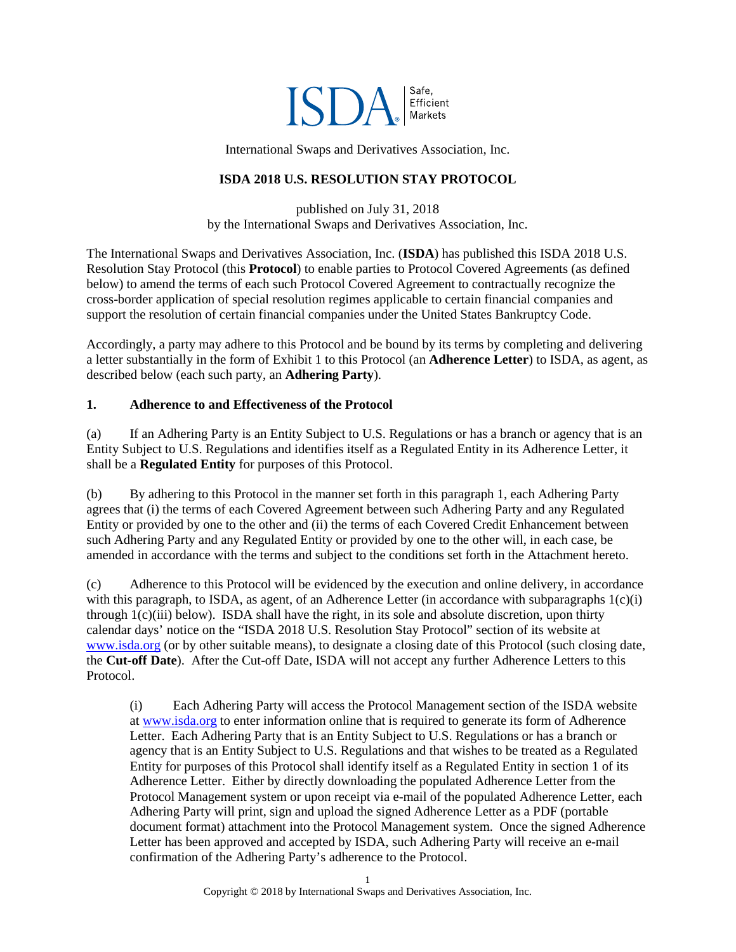

International Swaps and Derivatives Association, Inc.

### **ISDA 2018 U.S. RESOLUTION STAY PROTOCOL**

published on July 31, 2018 by the International Swaps and Derivatives Association, Inc.

The International Swaps and Derivatives Association, Inc. (**ISDA**) has published this ISDA 2018 U.S. Resolution Stay Protocol (this **Protocol**) to enable parties to Protocol Covered Agreements (as defined below) to amend the terms of each such Protocol Covered Agreement to contractually recognize the cross-border application of special resolution regimes applicable to certain financial companies and support the resolution of certain financial companies under the United States Bankruptcy Code.

Accordingly, a party may adhere to this Protocol and be bound by its terms by completing and delivering a letter substantially in the form of Exhibit 1 to this Protocol (an **Adherence Letter**) to ISDA, as agent, as described below (each such party, an **Adhering Party**).

### <span id="page-0-0"></span>**1. Adherence to and Effectiveness of the Protocol**

<span id="page-0-4"></span>(a) If an Adhering Party is an Entity Subject to U.S. Regulations or has a branch or agency that is an Entity Subject to U.S. Regulations and identifies itself as a Regulated Entity in its Adherence Letter, it shall be a **Regulated Entity** for purposes of this Protocol.

<span id="page-0-3"></span>(b) By adhering to this Protocol in the manner set forth in this paragraph [1,](#page-0-0) each Adhering Party agrees that (i) the terms of each Covered Agreement between such Adhering Party and any Regulated Entity or provided by one to the other and (ii) the terms of each Covered Credit Enhancement between such Adhering Party and any Regulated Entity or provided by one to the other will, in each case, be amended in accordance with the terms and subject to the conditions set forth in the Attachment hereto.

<span id="page-0-2"></span>(c) Adherence to this Protocol will be evidenced by the execution and online delivery, in accordance with this paragraph, to ISDA, as agent, of an Adherence Letter (in accordance with subparagraphs  $1(c)(i)$ ) through [1\(c\)\(iii\)](#page-1-0) below). ISDA shall have the right, in its sole and absolute discretion, upon thirty calendar days' notice on the "ISDA 2018 U.S. Resolution Stay Protocol" section of its website at [www.isda.org](http://www.isda.org/) (or by other suitable means), to designate a closing date of this Protocol (such closing date, the **Cut-off Date**). After the Cut-off Date, ISDA will not accept any further Adherence Letters to this Protocol.

<span id="page-0-1"></span>(i) Each Adhering Party will access the Protocol Management section of the ISDA website at [www.isda.org](http://www.isda.org/) to enter information online that is required to generate its form of Adherence Letter. Each Adhering Party that is an Entity Subject to U.S. Regulations or has a branch or agency that is an Entity Subject to U.S. Regulations and that wishes to be treated as a Regulated Entity for purposes of this Protocol shall identify itself as a Regulated Entity in section 1 of its Adherence Letter. Either by directly downloading the populated Adherence Letter from the Protocol Management system or upon receipt via e-mail of the populated Adherence Letter, each Adhering Party will print, sign and upload the signed Adherence Letter as a PDF (portable document format) attachment into the Protocol Management system. Once the signed Adherence Letter has been approved and accepted by ISDA, such Adhering Party will receive an e-mail confirmation of the Adhering Party's adherence to the Protocol.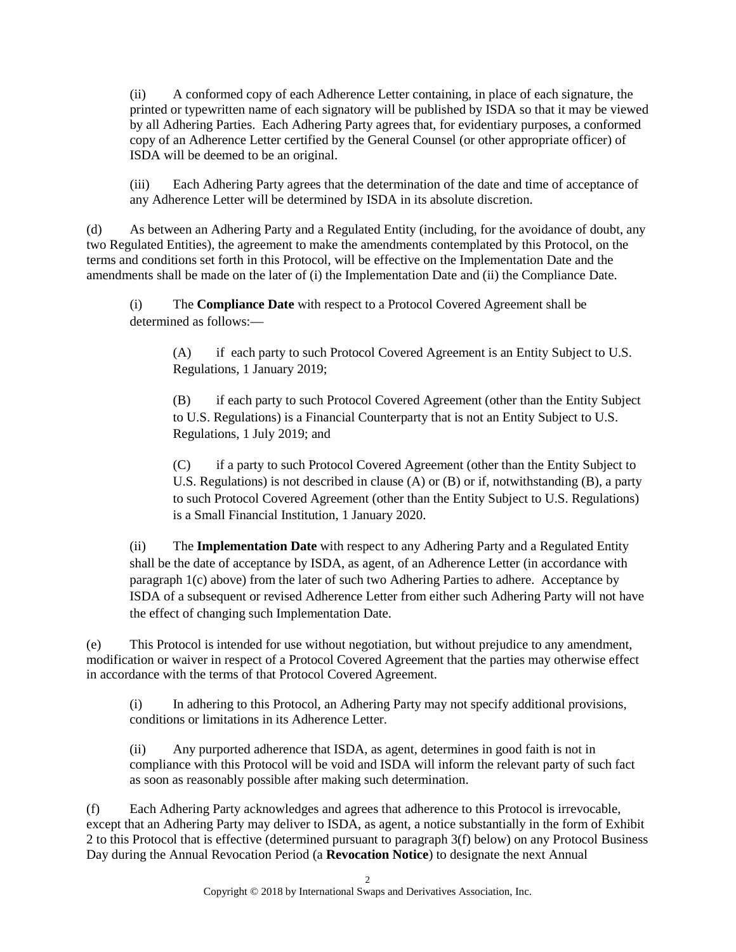(ii) A conformed copy of each Adherence Letter containing, in place of each signature, the printed or typewritten name of each signatory will be published by ISDA so that it may be viewed by all Adhering Parties. Each Adhering Party agrees that, for evidentiary purposes, a conformed copy of an Adherence Letter certified by the General Counsel (or other appropriate officer) of ISDA will be deemed to be an original.

<span id="page-1-0"></span>(iii) Each Adhering Party agrees that the determination of the date and time of acceptance of any Adherence Letter will be determined by ISDA in its absolute discretion.

(d) As between an Adhering Party and a Regulated Entity (including, for the avoidance of doubt, any two Regulated Entities), the agreement to make the amendments contemplated by this Protocol, on the terms and conditions set forth in this Protocol, will be effective on the Implementation Date and the amendments shall be made on the later of (i) the Implementation Date and (ii) the Compliance Date.

<span id="page-1-4"></span><span id="page-1-1"></span>(i) The **Compliance Date** with respect to a Protocol Covered Agreement shall be determined as follows:—

(A) if each party to such Protocol Covered Agreement is an Entity Subject to U.S. Regulations, 1 January 2019;

<span id="page-1-2"></span>(B) if each party to such Protocol Covered Agreement (other than the Entity Subject to U.S. Regulations) is a Financial Counterparty that is not an Entity Subject to U.S. Regulations, 1 July 2019; and

(C) if a party to such Protocol Covered Agreement (other than the Entity Subject to U.S. Regulations) is not described in clause [\(A\)](#page-1-1) or [\(B\)](#page-1-2) or if, notwithstanding (B), a party to such Protocol Covered Agreement (other than the Entity Subject to U.S. Regulations) is a Small Financial Institution, 1 January 2020.

<span id="page-1-5"></span>(ii) The **Implementation Date** with respect to any Adhering Party and a Regulated Entity shall be the date of acceptance by ISDA, as agent, of an Adherence Letter (in accordance with paragraph [1\(c\)](#page-0-2) above) from the later of such two Adhering Parties to adhere. Acceptance by ISDA of a subsequent or revised Adherence Letter from either such Adhering Party will not have the effect of changing such Implementation Date.

(e) This Protocol is intended for use without negotiation, but without prejudice to any amendment, modification or waiver in respect of a Protocol Covered Agreement that the parties may otherwise effect in accordance with the terms of that Protocol Covered Agreement.

(i) In adhering to this Protocol, an Adhering Party may not specify additional provisions, conditions or limitations in its Adherence Letter.

(ii) Any purported adherence that ISDA, as agent, determines in good faith is not in compliance with this Protocol will be void and ISDA will inform the relevant party of such fact as soon as reasonably possible after making such determination.

<span id="page-1-3"></span>(f) Each Adhering Party acknowledges and agrees that adherence to this Protocol is irrevocable, except that an Adhering Party may deliver to ISDA, as agent, a notice substantially in the form of Exhibit 2 to this Protocol that is effective (determined pursuant to paragraph [3\(f\)](#page-4-0) below) on any Protocol Business Day during the Annual Revocation Period (a **Revocation Notice**) to designate the next Annual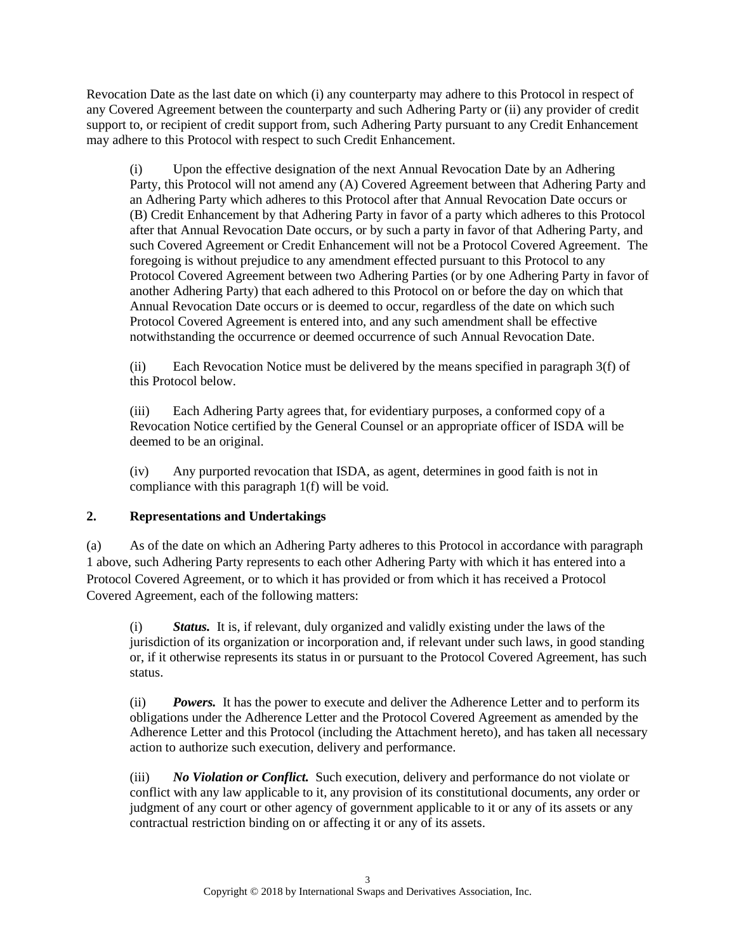Revocation Date as the last date on which (i) any counterparty may adhere to this Protocol in respect of any Covered Agreement between the counterparty and such Adhering Party or (ii) any provider of credit support to, or recipient of credit support from, such Adhering Party pursuant to any Credit Enhancement may adhere to this Protocol with respect to such Credit Enhancement.

(i) Upon the effective designation of the next Annual Revocation Date by an Adhering Party, this Protocol will not amend any (A) Covered Agreement between that Adhering Party and an Adhering Party which adheres to this Protocol after that Annual Revocation Date occurs or (B) Credit Enhancement by that Adhering Party in favor of a party which adheres to this Protocol after that Annual Revocation Date occurs, or by such a party in favor of that Adhering Party, and such Covered Agreement or Credit Enhancement will not be a Protocol Covered Agreement. The foregoing is without prejudice to any amendment effected pursuant to this Protocol to any Protocol Covered Agreement between two Adhering Parties (or by one Adhering Party in favor of another Adhering Party) that each adhered to this Protocol on or before the day on which that Annual Revocation Date occurs or is deemed to occur, regardless of the date on which such Protocol Covered Agreement is entered into, and any such amendment shall be effective notwithstanding the occurrence or deemed occurrence of such Annual Revocation Date.

(ii) Each Revocation Notice must be delivered by the means specified in paragraph [3\(f\)](#page-4-0) of this Protocol below.

(iii) Each Adhering Party agrees that, for evidentiary purposes, a conformed copy of a Revocation Notice certified by the General Counsel or an appropriate officer of ISDA will be deemed to be an original.

(iv) Any purported revocation that ISDA, as agent, determines in good faith is not in compliance with this paragraph [1\(f\)](#page-1-3) will be void.

# **2. Representations and Undertakings**

(a) As of the date on which an Adhering Party adheres to this Protocol in accordance with paragraph [1](#page-0-0) above, such Adhering Party represents to each other Adhering Party with which it has entered into a Protocol Covered Agreement, or to which it has provided or from which it has received a Protocol Covered Agreement, each of the following matters:

(i) *Status.* It is, if relevant, duly organized and validly existing under the laws of the jurisdiction of its organization or incorporation and, if relevant under such laws, in good standing or, if it otherwise represents its status in or pursuant to the Protocol Covered Agreement, has such status.

(ii) *Powers.* It has the power to execute and deliver the Adherence Letter and to perform its obligations under the Adherence Letter and the Protocol Covered Agreement as amended by the Adherence Letter and this Protocol (including the Attachment hereto), and has taken all necessary action to authorize such execution, delivery and performance.

(iii) *No Violation or Conflict.* Such execution, delivery and performance do not violate or conflict with any law applicable to it, any provision of its constitutional documents, any order or judgment of any court or other agency of government applicable to it or any of its assets or any contractual restriction binding on or affecting it or any of its assets.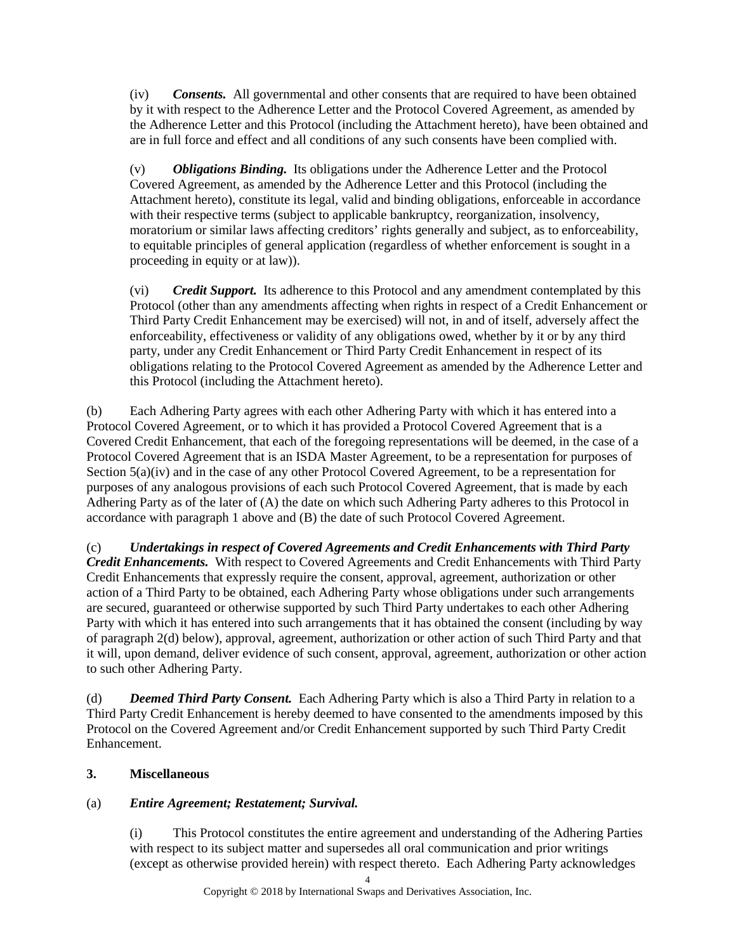(iv) *Consents.* All governmental and other consents that are required to have been obtained by it with respect to the Adherence Letter and the Protocol Covered Agreement, as amended by the Adherence Letter and this Protocol (including the Attachment hereto), have been obtained and are in full force and effect and all conditions of any such consents have been complied with.

(v) *Obligations Binding.* Its obligations under the Adherence Letter and the Protocol Covered Agreement, as amended by the Adherence Letter and this Protocol (including the Attachment hereto), constitute its legal, valid and binding obligations, enforceable in accordance with their respective terms (subject to applicable bankruptcy, reorganization, insolvency, moratorium or similar laws affecting creditors' rights generally and subject, as to enforceability, to equitable principles of general application (regardless of whether enforcement is sought in a proceeding in equity or at law)).

(vi) *Credit Support.* Its adherence to this Protocol and any amendment contemplated by this Protocol (other than any amendments affecting when rights in respect of a Credit Enhancement or Third Party Credit Enhancement may be exercised) will not, in and of itself, adversely affect the enforceability, effectiveness or validity of any obligations owed, whether by it or by any third party, under any Credit Enhancement or Third Party Credit Enhancement in respect of its obligations relating to the Protocol Covered Agreement as amended by the Adherence Letter and this Protocol (including the Attachment hereto).

(b) Each Adhering Party agrees with each other Adhering Party with which it has entered into a Protocol Covered Agreement, or to which it has provided a Protocol Covered Agreement that is a Covered Credit Enhancement, that each of the foregoing representations will be deemed, in the case of a Protocol Covered Agreement that is an ISDA Master Agreement, to be a representation for purposes of Section 5(a)(iv) and in the case of any other Protocol Covered Agreement, to be a representation for purposes of any analogous provisions of each such Protocol Covered Agreement, that is made by each Adhering Party as of the later of (A) the date on which such Adhering Party adheres to this Protocol in accordance with paragraph [1](#page-0-0) above and (B) the date of such Protocol Covered Agreement.

(c) *Undertakings in respect of Covered Agreements and Credit Enhancements with Third Party Credit Enhancements.* With respect to Covered Agreements and Credit Enhancements with Third Party Credit Enhancements that expressly require the consent, approval, agreement, authorization or other action of a Third Party to be obtained, each Adhering Party whose obligations under such arrangements are secured, guaranteed or otherwise supported by such Third Party undertakes to each other Adhering Party with which it has entered into such arrangements that it has obtained the consent (including by way of paragrap[h 2\(d\)](#page-3-0) below), approval, agreement, authorization or other action of such Third Party and that it will, upon demand, deliver evidence of such consent, approval, agreement, authorization or other action to such other Adhering Party.

<span id="page-3-0"></span>(d) *Deemed Third Party Consent.* Each Adhering Party which is also a Third Party in relation to a Third Party Credit Enhancement is hereby deemed to have consented to the amendments imposed by this Protocol on the Covered Agreement and/or Credit Enhancement supported by such Third Party Credit Enhancement.

# **3. Miscellaneous**

### (a) *Entire Agreement; Restatement; Survival.*

(i) This Protocol constitutes the entire agreement and understanding of the Adhering Parties with respect to its subject matter and supersedes all oral communication and prior writings (except as otherwise provided herein) with respect thereto. Each Adhering Party acknowledges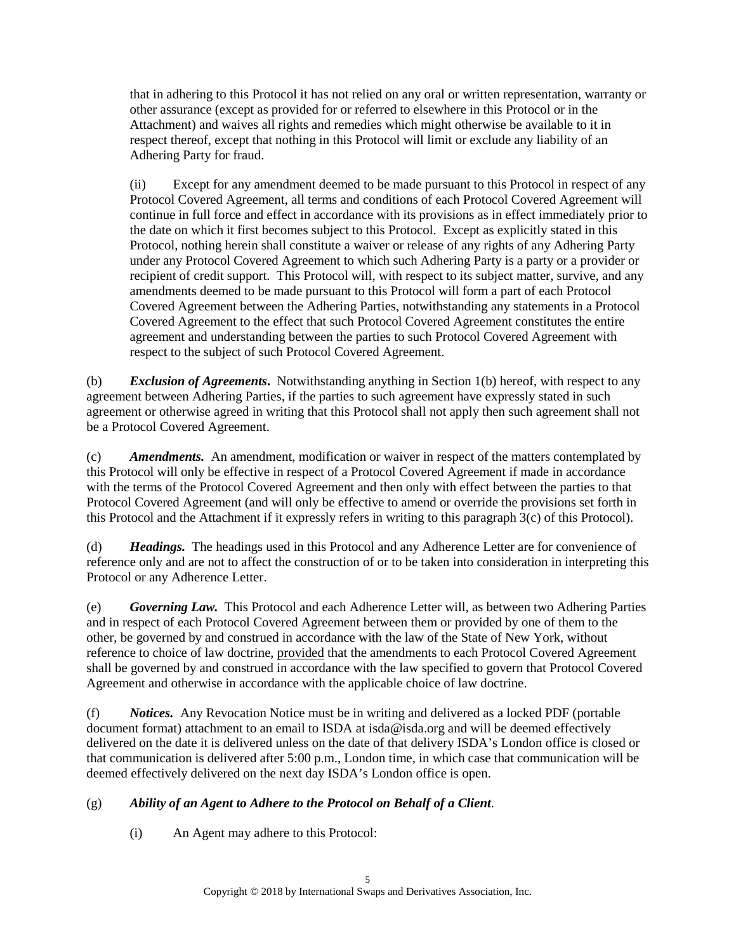that in adhering to this Protocol it has not relied on any oral or written representation, warranty or other assurance (except as provided for or referred to elsewhere in this Protocol or in the Attachment) and waives all rights and remedies which might otherwise be available to it in respect thereof, except that nothing in this Protocol will limit or exclude any liability of an Adhering Party for fraud.

(ii) Except for any amendment deemed to be made pursuant to this Protocol in respect of any Protocol Covered Agreement, all terms and conditions of each Protocol Covered Agreement will continue in full force and effect in accordance with its provisions as in effect immediately prior to the date on which it first becomes subject to this Protocol. Except as explicitly stated in this Protocol, nothing herein shall constitute a waiver or release of any rights of any Adhering Party under any Protocol Covered Agreement to which such Adhering Party is a party or a provider or recipient of credit support. This Protocol will, with respect to its subject matter, survive, and any amendments deemed to be made pursuant to this Protocol will form a part of each Protocol Covered Agreement between the Adhering Parties, notwithstanding any statements in a Protocol Covered Agreement to the effect that such Protocol Covered Agreement constitutes the entire agreement and understanding between the parties to such Protocol Covered Agreement with respect to the subject of such Protocol Covered Agreement.

(b) *Exclusion of Agreements***.** Notwithstanding anything in Section [1\(b\)](#page-0-3) hereof, with respect to any agreement between Adhering Parties, if the parties to such agreement have expressly stated in such agreement or otherwise agreed in writing that this Protocol shall not apply then such agreement shall not be a Protocol Covered Agreement.

<span id="page-4-1"></span>(c) *Amendments.* An amendment, modification or waiver in respect of the matters contemplated by this Protocol will only be effective in respect of a Protocol Covered Agreement if made in accordance with the terms of the Protocol Covered Agreement and then only with effect between the parties to that Protocol Covered Agreement (and will only be effective to amend or override the provisions set forth in this Protocol and the Attachment if it expressly refers in writing to this paragraph [3\(c\)](#page-4-1) of this Protocol).

(d) *Headings.* The headings used in this Protocol and any Adherence Letter are for convenience of reference only and are not to affect the construction of or to be taken into consideration in interpreting this Protocol or any Adherence Letter.

(e) *Governing Law.* This Protocol and each Adherence Letter will, as between two Adhering Parties and in respect of each Protocol Covered Agreement between them or provided by one of them to the other, be governed by and construed in accordance with the law of the State of New York, without reference to choice of law doctrine, provided that the amendments to each Protocol Covered Agreement shall be governed by and construed in accordance with the law specified to govern that Protocol Covered Agreement and otherwise in accordance with the applicable choice of law doctrine.

<span id="page-4-0"></span>(f) *Notices.*Any Revocation Notice must be in writing and delivered as a locked PDF (portable document format) attachment to an email to ISDA at isda@isda.org and will be deemed effectively delivered on the date it is delivered unless on the date of that delivery ISDA's London office is closed or that communication is delivered after 5:00 p.m., London time, in which case that communication will be deemed effectively delivered on the next day ISDA's London office is open.

# <span id="page-4-2"></span>(g) *Ability of an Agent to Adhere to the Protocol on Behalf of a Client*.

(i) An Agent may adhere to this Protocol: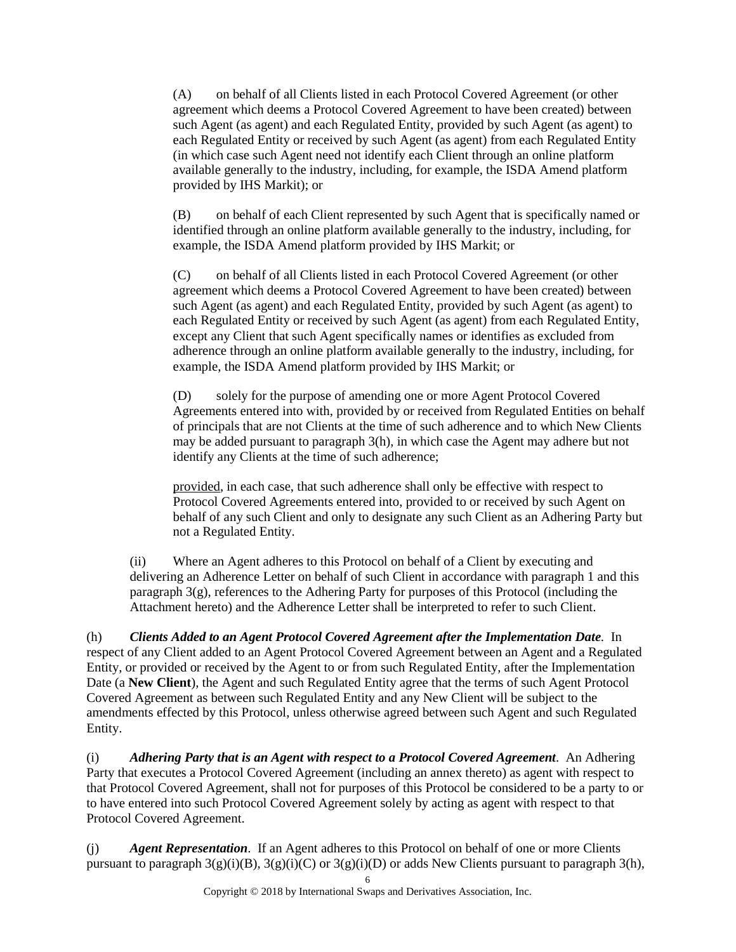(A) on behalf of all Clients listed in each Protocol Covered Agreement (or other agreement which deems a Protocol Covered Agreement to have been created) between such Agent (as agent) and each Regulated Entity, provided by such Agent (as agent) to each Regulated Entity or received by such Agent (as agent) from each Regulated Entity (in which case such Agent need not identify each Client through an online platform available generally to the industry, including, for example, the ISDA Amend platform provided by IHS Markit); or

<span id="page-5-1"></span>(B) on behalf of each Client represented by such Agent that is specifically named or identified through an online platform available generally to the industry, including, for example, the ISDA Amend platform provided by IHS Markit; or

<span id="page-5-2"></span>(C) on behalf of all Clients listed in each Protocol Covered Agreement (or other agreement which deems a Protocol Covered Agreement to have been created) between such Agent (as agent) and each Regulated Entity, provided by such Agent (as agent) to each Regulated Entity or received by such Agent (as agent) from each Regulated Entity, except any Client that such Agent specifically names or identifies as excluded from adherence through an online platform available generally to the industry, including, for example, the ISDA Amend platform provided by IHS Markit; or

<span id="page-5-3"></span>(D) solely for the purpose of amending one or more Agent Protocol Covered Agreements entered into with, provided by or received from Regulated Entities on behalf of principals that are not Clients at the time of such adherence and to which New Clients may be added pursuant to paragraph [3\(h\),](#page-5-0) in which case the Agent may adhere but not identify any Clients at the time of such adherence;

provided, in each case, that such adherence shall only be effective with respect to Protocol Covered Agreements entered into, provided to or received by such Agent on behalf of any such Client and only to designate any such Client as an Adhering Party but not a Regulated Entity.

(ii) Where an Agent adheres to this Protocol on behalf of a Client by executing and delivering an Adherence Letter on behalf of such Client in accordance with paragraph [1](#page-0-0) and this paragrap[h 3\(g\),](#page-4-2) references to the Adhering Party for purposes of this Protocol (including the Attachment hereto) and the Adherence Letter shall be interpreted to refer to such Client.

<span id="page-5-0"></span>(h) *Clients Added to an Agent Protocol Covered Agreement after the Implementation Date.* In respect of any Client added to an Agent Protocol Covered Agreement between an Agent and a Regulated Entity, or provided or received by the Agent to or from such Regulated Entity, after the Implementation Date (a **New Client**), the Agent and such Regulated Entity agree that the terms of such Agent Protocol Covered Agreement as between such Regulated Entity and any New Client will be subject to the amendments effected by this Protocol, unless otherwise agreed between such Agent and such Regulated Entity.

(i) *Adhering Party that is an Agent with respect to a Protocol Covered Agreement*. An Adhering Party that executes a Protocol Covered Agreement (including an annex thereto) as agent with respect to that Protocol Covered Agreement, shall not for purposes of this Protocol be considered to be a party to or to have entered into such Protocol Covered Agreement solely by acting as agent with respect to that Protocol Covered Agreement.

<span id="page-5-4"></span>(j) *Agent Representation*. If an Agent adheres to this Protocol on behalf of one or more Clients pursuant to paragraph  $3(g)(i)(B)$ ,  $3(g)(i)(C)$  or  $3(g)(i)(D)$  or adds New Clients pursuant to paragraph [3\(h\),](#page-5-0)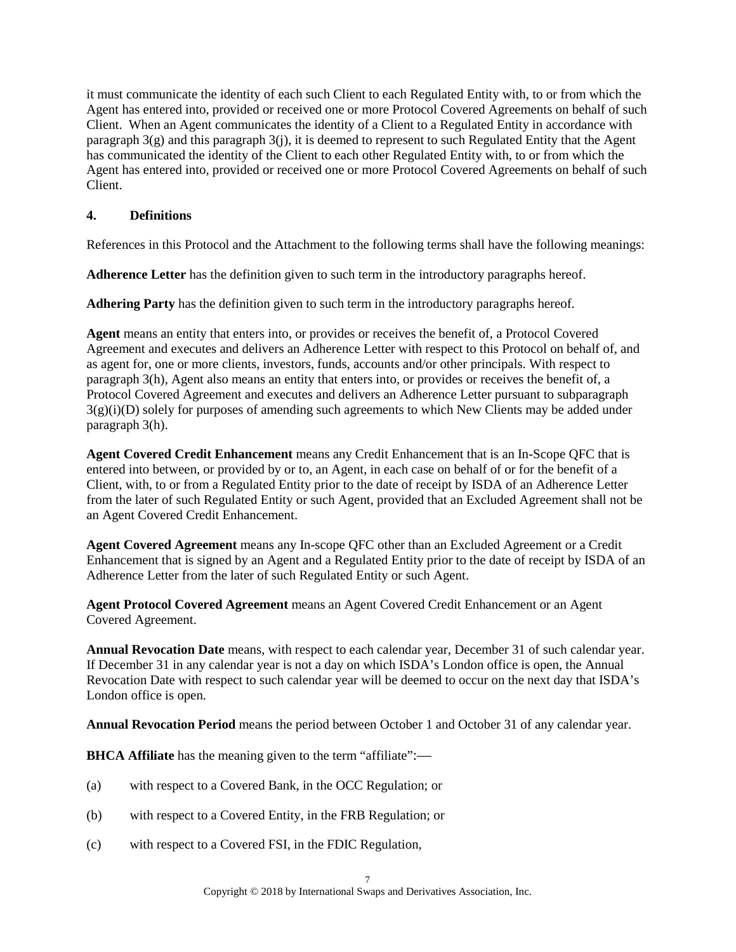it must communicate the identity of each such Client to each Regulated Entity with, to or from which the Agent has entered into, provided or received one or more Protocol Covered Agreements on behalf of such Client. When an Agent communicates the identity of a Client to a Regulated Entity in accordance with paragraph  $3(g)$  and this paragraph  $3(j)$ , it is deemed to represent to such Regulated Entity that the Agent has communicated the identity of the Client to each other Regulated Entity with, to or from which the Agent has entered into, provided or received one or more Protocol Covered Agreements on behalf of such Client.

## **4. Definitions**

References in this Protocol and the Attachment to the following terms shall have the following meanings:

**Adherence Letter** has the definition given to such term in the introductory paragraphs hereof.

**Adhering Party** has the definition given to such term in the introductory paragraphs hereof.

**Agent** means an entity that enters into, or provides or receives the benefit of, a Protocol Covered Agreement and executes and delivers an Adherence Letter with respect to this Protocol on behalf of, and as agent for, one or more clients, investors, funds, accounts and/or other principals. With respect to paragrap[h 3\(h\),](#page-5-0) Agent also means an entity that enters into, or provides or receives the benefit of, a Protocol Covered Agreement and executes and delivers an Adherence Letter pursuant to subparagraph  $3(g)(i)(D)$  solely for purposes of amending such agreements to which New Clients may be added under paragrap[h 3\(h\).](#page-5-0)

**Agent Covered Credit Enhancement** means any Credit Enhancement that is an In-Scope QFC that is entered into between, or provided by or to, an Agent, in each case on behalf of or for the benefit of a Client, with, to or from a Regulated Entity prior to the date of receipt by ISDA of an Adherence Letter from the later of such Regulated Entity or such Agent, provided that an Excluded Agreement shall not be an Agent Covered Credit Enhancement.

**Agent Covered Agreement** means any In-scope QFC other than an Excluded Agreement or a Credit Enhancement that is signed by an Agent and a Regulated Entity prior to the date of receipt by ISDA of an Adherence Letter from the later of such Regulated Entity or such Agent.

**Agent Protocol Covered Agreement** means an Agent Covered Credit Enhancement or an Agent Covered Agreement.

**Annual Revocation Date** means, with respect to each calendar year, December 31 of such calendar year. If December 31 in any calendar year is not a day on which ISDA's London office is open, the Annual Revocation Date with respect to such calendar year will be deemed to occur on the next day that ISDA's London office is open.

**Annual Revocation Period** means the period between October 1 and October 31 of any calendar year.

**BHCA Affiliate** has the meaning given to the term "affiliate":—

- (a) with respect to a Covered Bank, in the OCC Regulation; or
- (b) with respect to a Covered Entity, in the FRB Regulation; or
- (c) with respect to a Covered FSI, in the FDIC Regulation,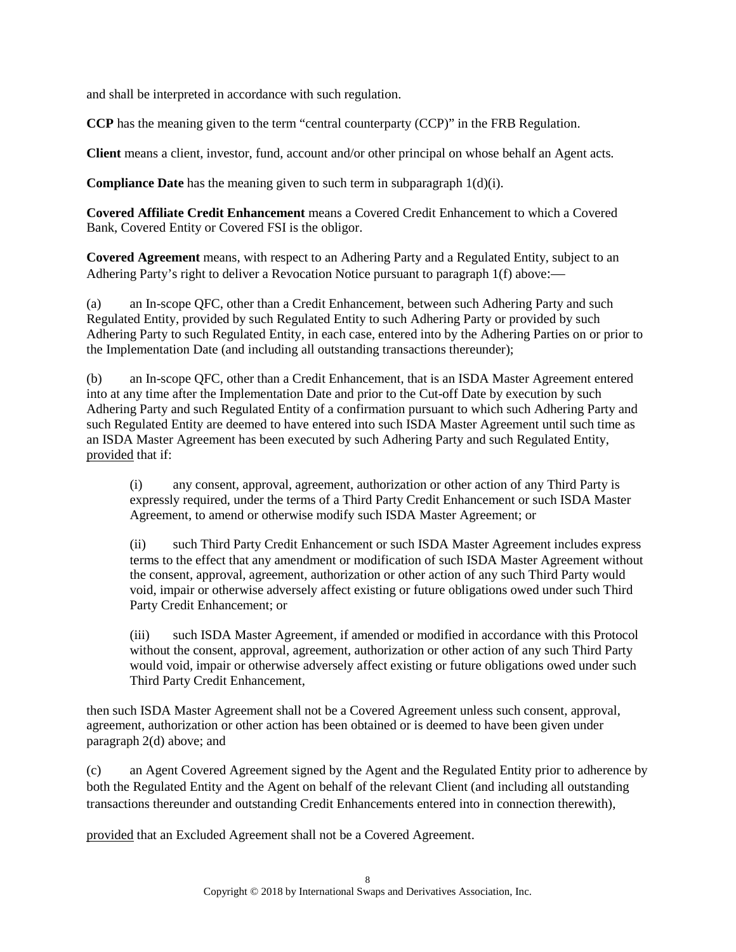and shall be interpreted in accordance with such regulation.

**CCP** has the meaning given to the term "central counterparty (CCP)" in the FRB Regulation.

**Client** means a client, investor, fund, account and/or other principal on whose behalf an Agent acts.

**Compliance Date** has the meaning given to such term in subparagraph [1\(d\)\(i\).](#page-1-4)

**Covered Affiliate Credit Enhancement** means a Covered Credit Enhancement to which a Covered Bank, Covered Entity or Covered FSI is the obligor.

**Covered Agreement** means, with respect to an Adhering Party and a Regulated Entity, subject to an Adhering Party's right to deliver a Revocation Notice pursuant to paragraph [1\(f\)](#page-1-3) above:—

(a) an In-scope QFC, other than a Credit Enhancement, between such Adhering Party and such Regulated Entity, provided by such Regulated Entity to such Adhering Party or provided by such Adhering Party to such Regulated Entity, in each case, entered into by the Adhering Parties on or prior to the Implementation Date (and including all outstanding transactions thereunder);

(b) an In-scope QFC, other than a Credit Enhancement, that is an ISDA Master Agreement entered into at any time after the Implementation Date and prior to the Cut-off Date by execution by such Adhering Party and such Regulated Entity of a confirmation pursuant to which such Adhering Party and such Regulated Entity are deemed to have entered into such ISDA Master Agreement until such time as an ISDA Master Agreement has been executed by such Adhering Party and such Regulated Entity, provided that if:

(i) any consent, approval, agreement, authorization or other action of any Third Party is expressly required, under the terms of a Third Party Credit Enhancement or such ISDA Master Agreement, to amend or otherwise modify such ISDA Master Agreement; or

(ii) such Third Party Credit Enhancement or such ISDA Master Agreement includes express terms to the effect that any amendment or modification of such ISDA Master Agreement without the consent, approval, agreement, authorization or other action of any such Third Party would void, impair or otherwise adversely affect existing or future obligations owed under such Third Party Credit Enhancement; or

(iii) such ISDA Master Agreement, if amended or modified in accordance with this Protocol without the consent, approval, agreement, authorization or other action of any such Third Party would void, impair or otherwise adversely affect existing or future obligations owed under such Third Party Credit Enhancement,

then such ISDA Master Agreement shall not be a Covered Agreement unless such consent, approval, agreement, authorization or other action has been obtained or is deemed to have been given under paragrap[h 2\(d\)](#page-3-0) above; and

(c) an Agent Covered Agreement signed by the Agent and the Regulated Entity prior to adherence by both the Regulated Entity and the Agent on behalf of the relevant Client (and including all outstanding transactions thereunder and outstanding Credit Enhancements entered into in connection therewith),

provided that an Excluded Agreement shall not be a Covered Agreement.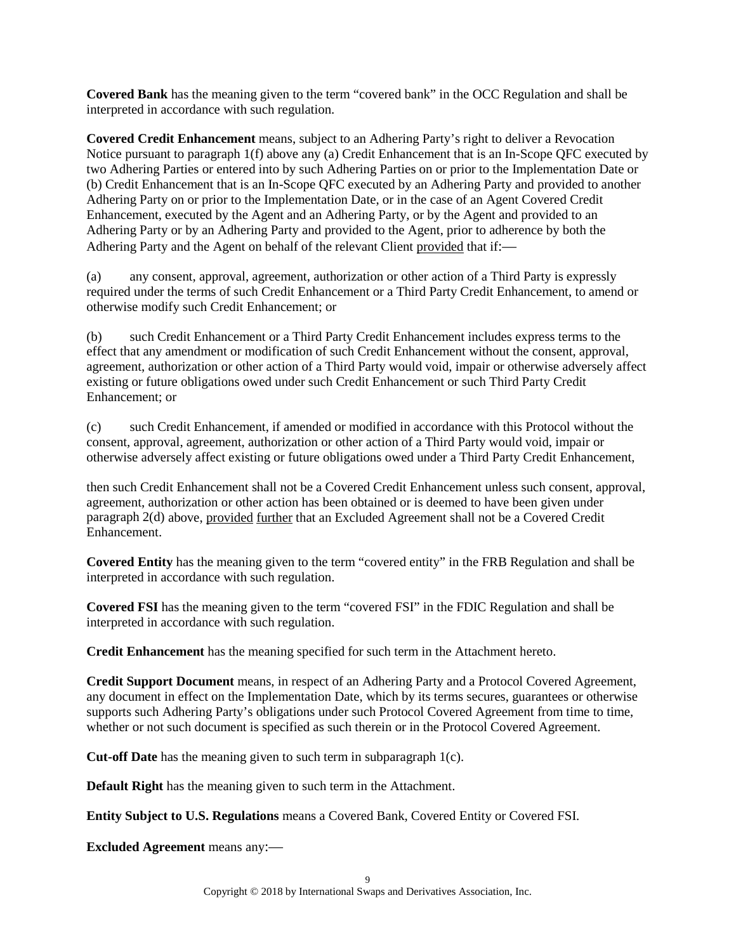**Covered Bank** has the meaning given to the term "covered bank" in the OCC Regulation and shall be interpreted in accordance with such regulation.

**Covered Credit Enhancement** means, subject to an Adhering Party's right to deliver a Revocation Notice pursuant to paragrap[h 1\(f\)](#page-1-3) above any (a) Credit Enhancement that is an In-Scope QFC executed by two Adhering Parties or entered into by such Adhering Parties on or prior to the Implementation Date or (b) Credit Enhancement that is an In-Scope QFC executed by an Adhering Party and provided to another Adhering Party on or prior to the Implementation Date, or in the case of an Agent Covered Credit Enhancement, executed by the Agent and an Adhering Party, or by the Agent and provided to an Adhering Party or by an Adhering Party and provided to the Agent, prior to adherence by both the Adhering Party and the Agent on behalf of the relevant Client provided that if:—

(a) any consent, approval, agreement, authorization or other action of a Third Party is expressly required under the terms of such Credit Enhancement or a Third Party Credit Enhancement, to amend or otherwise modify such Credit Enhancement; or

(b) such Credit Enhancement or a Third Party Credit Enhancement includes express terms to the effect that any amendment or modification of such Credit Enhancement without the consent, approval, agreement, authorization or other action of a Third Party would void, impair or otherwise adversely affect existing or future obligations owed under such Credit Enhancement or such Third Party Credit Enhancement; or

(c) such Credit Enhancement, if amended or modified in accordance with this Protocol without the consent, approval, agreement, authorization or other action of a Third Party would void, impair or otherwise adversely affect existing or future obligations owed under a Third Party Credit Enhancement,

then such Credit Enhancement shall not be a Covered Credit Enhancement unless such consent, approval, agreement, authorization or other action has been obtained or is deemed to have been given under paragrap[h 2\(d\)](#page-3-0) above, provided further that an Excluded Agreement shall not be a Covered Credit Enhancement.

**Covered Entity** has the meaning given to the term "covered entity" in the FRB Regulation and shall be interpreted in accordance with such regulation.

**Covered FSI** has the meaning given to the term "covered FSI" in the FDIC Regulation and shall be interpreted in accordance with such regulation.

**Credit Enhancement** has the meaning specified for such term in the Attachment hereto.

**Credit Support Document** means, in respect of an Adhering Party and a Protocol Covered Agreement, any document in effect on the Implementation Date, which by its terms secures, guarantees or otherwise supports such Adhering Party's obligations under such Protocol Covered Agreement from time to time, whether or not such document is specified as such therein or in the Protocol Covered Agreement.

**Cut-off Date** has the meaning given to such term in subparagraph [1\(c\).](#page-0-2)

**Default Right** has the meaning given to such term in the Attachment.

**Entity Subject to U.S. Regulations** means a Covered Bank, Covered Entity or Covered FSI.

**Excluded Agreement** means any:—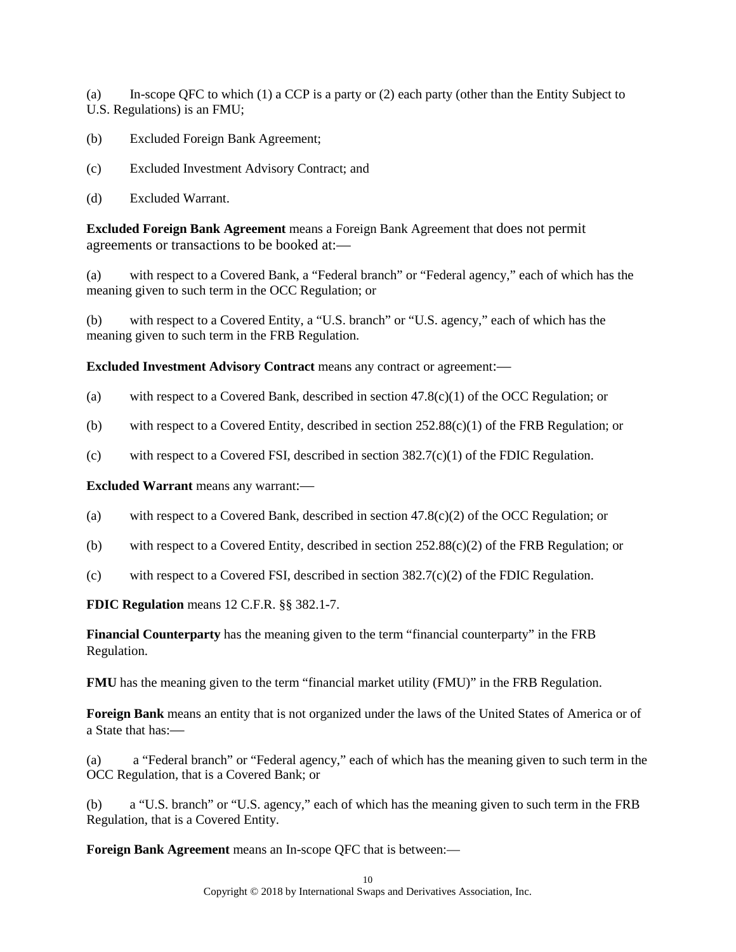(a) In-scope QFC to which (1) a CCP is a party or (2) each party (other than the Entity Subject to U.S. Regulations) is an FMU;

- (b) Excluded Foreign Bank Agreement;
- (c) Excluded Investment Advisory Contract; and
- (d) Excluded Warrant.

**Excluded Foreign Bank Agreement** means a Foreign Bank Agreement that does not permit agreements or transactions to be booked at:—

(a) with respect to a Covered Bank, a "Federal branch" or "Federal agency," each of which has the meaning given to such term in the OCC Regulation; or

(b) with respect to a Covered Entity, a "U.S. branch" or "U.S. agency," each of which has the meaning given to such term in the FRB Regulation.

**Excluded Investment Advisory Contract means any contract or agreement:—** 

- (a) with respect to a Covered Bank, described in section  $47.8(c)(1)$  of the OCC Regulation; or
- (b) with respect to a Covered Entity, described in section  $252.88(c)(1)$  of the FRB Regulation; or
- (c) with respect to a Covered FSI, described in section 382.7(c)(1) of the FDIC Regulation.

**Excluded Warrant** means any warrant:—

- (a) with respect to a Covered Bank, described in section 47.8(c)(2) of the OCC Regulation; or
- (b) with respect to a Covered Entity, described in section 252.88(c)(2) of the FRB Regulation; or
- (c) with respect to a Covered FSI, described in section 382.7(c)(2) of the FDIC Regulation.

**FDIC Regulation** means 12 C.F.R. §§ 382.1-7.

**Financial Counterparty** has the meaning given to the term "financial counterparty" in the FRB Regulation.

**FMU** has the meaning given to the term "financial market utility (FMU)" in the FRB Regulation.

**Foreign Bank** means an entity that is not organized under the laws of the United States of America or of a State that has:—

(a) a "Federal branch" or "Federal agency," each of which has the meaning given to such term in the OCC Regulation, that is a Covered Bank; or

(b) a "U.S. branch" or "U.S. agency," each of which has the meaning given to such term in the FRB Regulation, that is a Covered Entity.

**Foreign Bank Agreement** means an In-scope QFC that is between:—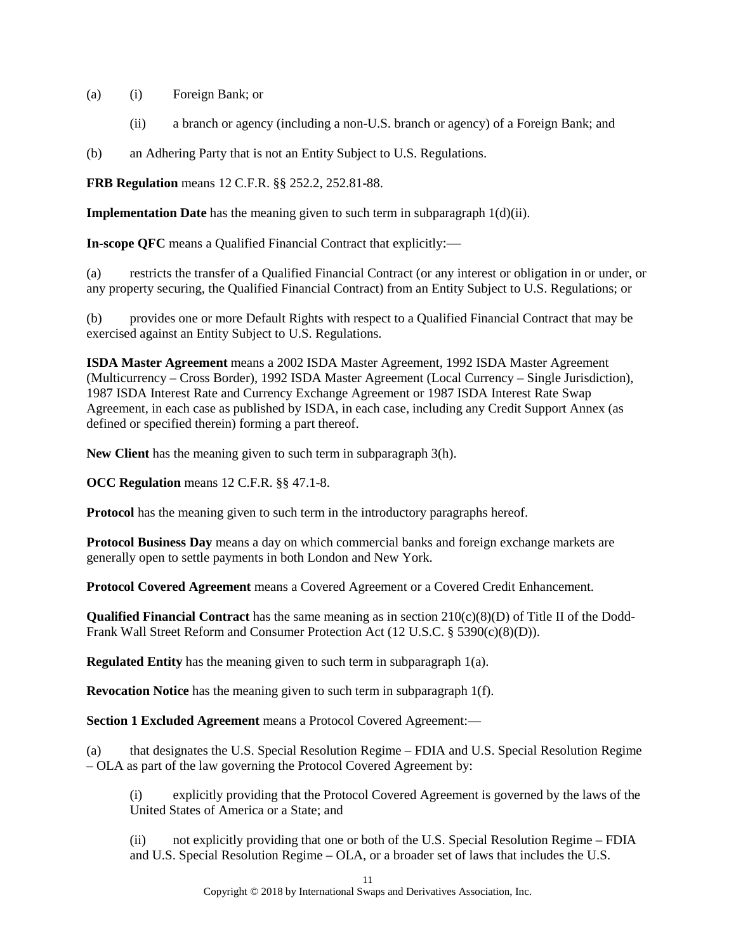- (a) (i) Foreign Bank; or
	- (ii) a branch or agency (including a non-U.S. branch or agency) of a Foreign Bank; and
- (b) an Adhering Party that is not an Entity Subject to U.S. Regulations.

**FRB Regulation** means 12 C.F.R. §§ 252.2, 252.81-88.

**Implementation Date** has the meaning given to such term in subparagraph  $1(d)(ii)$ .

**In-scope QFC** means a Qualified Financial Contract that explicitly:—

(a) restricts the transfer of a Qualified Financial Contract (or any interest or obligation in or under, or any property securing, the Qualified Financial Contract) from an Entity Subject to U.S. Regulations; or

(b) provides one or more Default Rights with respect to a Qualified Financial Contract that may be exercised against an Entity Subject to U.S. Regulations.

**ISDA Master Agreement** means a 2002 ISDA Master Agreement, 1992 ISDA Master Agreement (Multicurrency – Cross Border), 1992 ISDA Master Agreement (Local Currency – Single Jurisdiction), 1987 ISDA Interest Rate and Currency Exchange Agreement or 1987 ISDA Interest Rate Swap Agreement, in each case as published by ISDA, in each case, including any Credit Support Annex (as defined or specified therein) forming a part thereof.

**New Client** has the meaning given to such term in subparagraph [3\(h\).](#page-5-0)

**OCC Regulation** means 12 C.F.R. §§ 47.1-8.

**Protocol** has the meaning given to such term in the introductory paragraphs hereof.

**Protocol Business Day** means a day on which commercial banks and foreign exchange markets are generally open to settle payments in both London and New York.

**Protocol Covered Agreement** means a Covered Agreement or a Covered Credit Enhancement.

**Qualified Financial Contract** has the same meaning as in section 210(c)(8)(D) of Title II of the Dodd-Frank Wall Street Reform and Consumer Protection Act (12 U.S.C. § 5390(c)(8)(D)).

**Regulated Entity** has the meaning given to such term in subparagraph [1\(a\).](#page-0-4)

**Revocation Notice** has the meaning given to such term in subparagraph [1\(f\).](#page-1-3)

**Section 1 Excluded Agreement** means a Protocol Covered Agreement:—

(a) that designates the U.S. Special Resolution Regime – FDIA and U.S. Special Resolution Regime – OLA as part of the law governing the Protocol Covered Agreement by:

(i) explicitly providing that the Protocol Covered Agreement is governed by the laws of the United States of America or a State; and

(ii) not explicitly providing that one or both of the U.S. Special Resolution Regime – FDIA and U.S. Special Resolution Regime – OLA, or a broader set of laws that includes the U.S.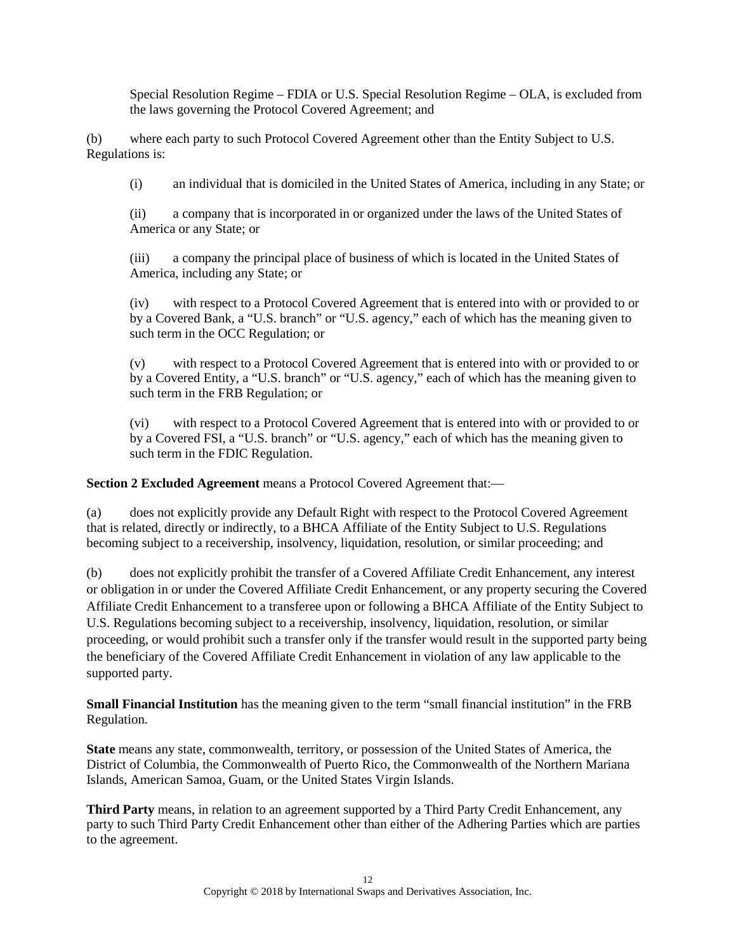Special Resolution Regime – FDIA or U.S. Special Resolution Regime – OLA, is excluded from the laws governing the Protocol Covered Agreement; and

(b) where each party to such Protocol Covered Agreement other than the Entity Subject to U.S. Regulations is:

(i) an individual that is domiciled in the United States of America, including in any State; or

(ii) a company that is incorporated in or organized under the laws of the United States of America or any State; or

(iii) a company the principal place of business of which is located in the United States of America, including any State; or

(iv) with respect to a Protocol Covered Agreement that is entered into with or provided to or by a Covered Bank, a "U.S. branch" or "U.S. agency," each of which has the meaning given to such term in the OCC Regulation; or

(v) with respect to a Protocol Covered Agreement that is entered into with or provided to or by a Covered Entity, a "U.S. branch" or "U.S. agency," each of which has the meaning given to such term in the FRB Regulation; or

(vi) with respect to a Protocol Covered Agreement that is entered into with or provided to or by a Covered FSI, a "U.S. branch" or "U.S. agency," each of which has the meaning given to such term in the FDIC Regulation.

**Section 2 Excluded Agreement** means a Protocol Covered Agreement that:—

(a) does not explicitly provide any Default Right with respect to the Protocol Covered Agreement that is related, directly or indirectly, to a BHCA Affiliate of the Entity Subject to U.S. Regulations becoming subject to a receivership, insolvency, liquidation, resolution, or similar proceeding; and

(b) does not explicitly prohibit the transfer of a Covered Affiliate Credit Enhancement, any interest or obligation in or under the Covered Affiliate Credit Enhancement, or any property securing the Covered Affiliate Credit Enhancement to a transferee upon or following a BHCA Affiliate of the Entity Subject to U.S. Regulations becoming subject to a receivership, insolvency, liquidation, resolution, or similar proceeding, or would prohibit such a transfer only if the transfer would result in the supported party being the beneficiary of the Covered Affiliate Credit Enhancement in violation of any law applicable to the supported party.

**Small Financial Institution** has the meaning given to the term "small financial institution" in the FRB Regulation.

**State** means any state, commonwealth, territory, or possession of the United States of America, the District of Columbia, the Commonwealth of Puerto Rico, the Commonwealth of the Northern Mariana Islands, American Samoa, Guam, or the United States Virgin Islands.

**Third Party** means, in relation to an agreement supported by a Third Party Credit Enhancement, any party to such Third Party Credit Enhancement other than either of the Adhering Parties which are parties to the agreement.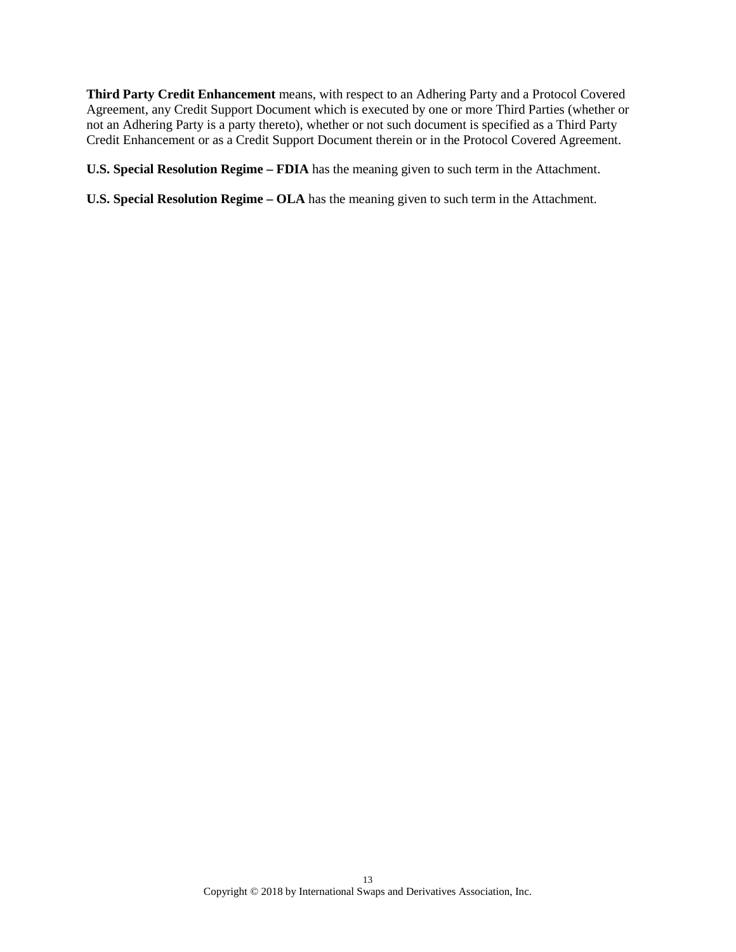**Third Party Credit Enhancement** means, with respect to an Adhering Party and a Protocol Covered Agreement, any Credit Support Document which is executed by one or more Third Parties (whether or not an Adhering Party is a party thereto), whether or not such document is specified as a Third Party Credit Enhancement or as a Credit Support Document therein or in the Protocol Covered Agreement.

**U.S. Special Resolution Regime – FDIA** has the meaning given to such term in the Attachment.

**U.S. Special Resolution Regime – OLA** has the meaning given to such term in the Attachment.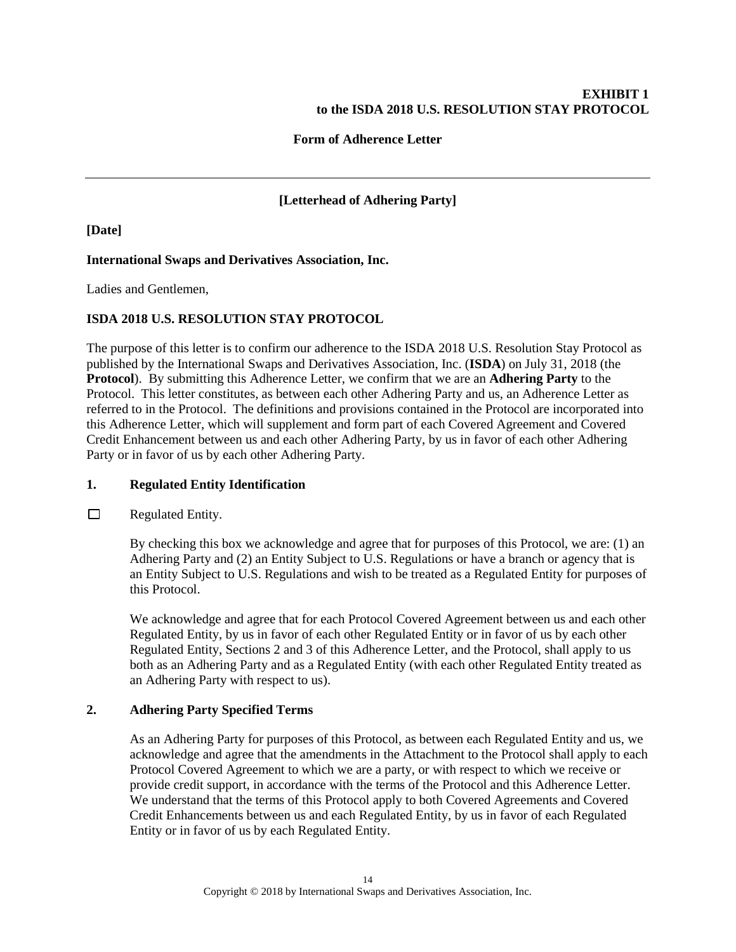### **EXHIBIT 1 to the ISDA 2018 U.S. RESOLUTION STAY PROTOCOL**

### **Form of Adherence Letter**

**[Letterhead of Adhering Party]**

### **[Date]**

### **International Swaps and Derivatives Association, Inc.**

Ladies and Gentlemen,

### **ISDA 2018 U.S. RESOLUTION STAY PROTOCOL**

The purpose of this letter is to confirm our adherence to the ISDA 2018 U.S. Resolution Stay Protocol as published by the International Swaps and Derivatives Association, Inc. (**ISDA**) on July 31, 2018 (the **Protocol**). By submitting this Adherence Letter, we confirm that we are an **Adhering Party** to the Protocol. This letter constitutes, as between each other Adhering Party and us, an Adherence Letter as referred to in the Protocol. The definitions and provisions contained in the Protocol are incorporated into this Adherence Letter, which will supplement and form part of each Covered Agreement and Covered Credit Enhancement between us and each other Adhering Party, by us in favor of each other Adhering Party or in favor of us by each other Adhering Party.

### **1. Regulated Entity Identification**

 $\Box$ Regulated Entity.

> By checking this box we acknowledge and agree that for purposes of this Protocol, we are: (1) an Adhering Party and (2) an Entity Subject to U.S. Regulations or have a branch or agency that is an Entity Subject to U.S. Regulations and wish to be treated as a Regulated Entity for purposes of this Protocol.

> We acknowledge and agree that for each Protocol Covered Agreement between us and each other Regulated Entity, by us in favor of each other Regulated Entity or in favor of us by each other Regulated Entity, Sections 2 and 3 of this Adherence Letter, and the Protocol, shall apply to us both as an Adhering Party and as a Regulated Entity (with each other Regulated Entity treated as an Adhering Party with respect to us).

### **2. Adhering Party Specified Terms**

As an Adhering Party for purposes of this Protocol, as between each Regulated Entity and us, we acknowledge and agree that the amendments in the Attachment to the Protocol shall apply to each Protocol Covered Agreement to which we are a party, or with respect to which we receive or provide credit support, in accordance with the terms of the Protocol and this Adherence Letter. We understand that the terms of this Protocol apply to both Covered Agreements and Covered Credit Enhancements between us and each Regulated Entity, by us in favor of each Regulated Entity or in favor of us by each Regulated Entity.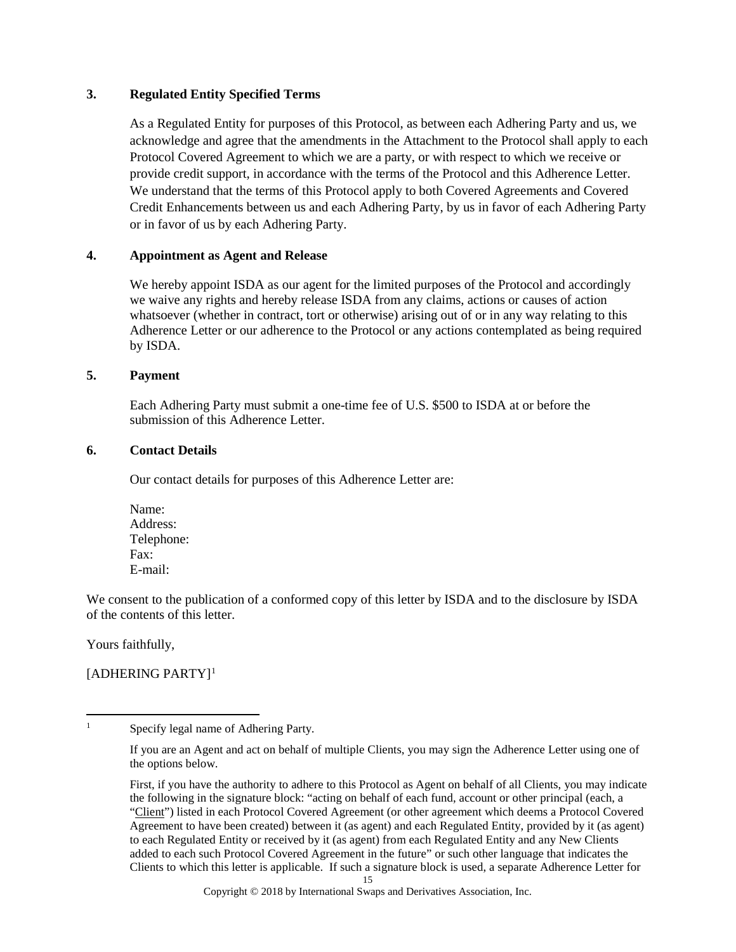#### **3. Regulated Entity Specified Terms**

As a Regulated Entity for purposes of this Protocol, as between each Adhering Party and us, we acknowledge and agree that the amendments in the Attachment to the Protocol shall apply to each Protocol Covered Agreement to which we are a party, or with respect to which we receive or provide credit support, in accordance with the terms of the Protocol and this Adherence Letter. We understand that the terms of this Protocol apply to both Covered Agreements and Covered Credit Enhancements between us and each Adhering Party, by us in favor of each Adhering Party or in favor of us by each Adhering Party.

### **4. Appointment as Agent and Release**

We hereby appoint ISDA as our agent for the limited purposes of the Protocol and accordingly we waive any rights and hereby release ISDA from any claims, actions or causes of action whatsoever (whether in contract, tort or otherwise) arising out of or in any way relating to this Adherence Letter or our adherence to the Protocol or any actions contemplated as being required by ISDA.

#### **5. Payment**

Each Adhering Party must submit a one-time fee of U.S. \$500 to ISDA at or before the submission of this Adherence Letter.

#### **6. Contact Details**

Our contact details for purposes of this Adherence Letter are:

Name: Address: Telephone: Fax: E-mail:

We consent to the publication of a conformed copy of this letter by ISDA and to the disclosure by ISDA of the contents of this letter.

Yours faithfully,

# $[ADHERING PARTY]$ <sup>[1](#page-14-0)</sup>

<span id="page-14-0"></span><sup>&</sup>lt;sup>1</sup> Specify legal name of Adhering Party.

If you are an Agent and act on behalf of multiple Clients, you may sign the Adherence Letter using one of the options below.

<sup>15</sup> First, if you have the authority to adhere to this Protocol as Agent on behalf of all Clients, you may indicate the following in the signature block: "acting on behalf of each fund, account or other principal (each, a "Client") listed in each Protocol Covered Agreement (or other agreement which deems a Protocol Covered Agreement to have been created) between it (as agent) and each Regulated Entity, provided by it (as agent) to each Regulated Entity or received by it (as agent) from each Regulated Entity and any New Clients added to each such Protocol Covered Agreement in the future" or such other language that indicates the Clients to which this letter is applicable. If such a signature block is used, a separate Adherence Letter for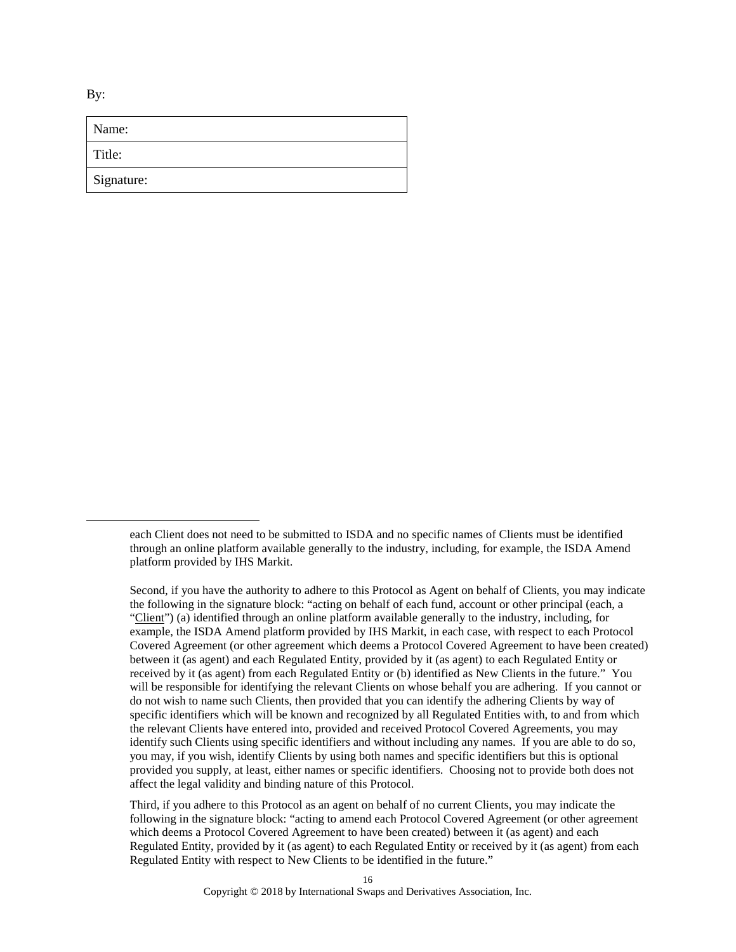By:

 $\overline{a}$ 

| Name:      |  |
|------------|--|
| Title:     |  |
| Signature: |  |

Second, if you have the authority to adhere to this Protocol as Agent on behalf of Clients, you may indicate the following in the signature block: "acting on behalf of each fund, account or other principal (each, a "Client") (a) identified through an online platform available generally to the industry, including, for example, the ISDA Amend platform provided by IHS Markit, in each case, with respect to each Protocol Covered Agreement (or other agreement which deems a Protocol Covered Agreement to have been created) between it (as agent) and each Regulated Entity, provided by it (as agent) to each Regulated Entity or received by it (as agent) from each Regulated Entity or (b) identified as New Clients in the future." You will be responsible for identifying the relevant Clients on whose behalf you are adhering. If you cannot or do not wish to name such Clients, then provided that you can identify the adhering Clients by way of specific identifiers which will be known and recognized by all Regulated Entities with, to and from which the relevant Clients have entered into, provided and received Protocol Covered Agreements, you may identify such Clients using specific identifiers and without including any names. If you are able to do so, you may, if you wish, identify Clients by using both names and specific identifiers but this is optional provided you supply, at least, either names or specific identifiers. Choosing not to provide both does not affect the legal validity and binding nature of this Protocol.

Third, if you adhere to this Protocol as an agent on behalf of no current Clients, you may indicate the following in the signature block: "acting to amend each Protocol Covered Agreement (or other agreement which deems a Protocol Covered Agreement to have been created) between it (as agent) and each Regulated Entity, provided by it (as agent) to each Regulated Entity or received by it (as agent) from each Regulated Entity with respect to New Clients to be identified in the future."

each Client does not need to be submitted to ISDA and no specific names of Clients must be identified through an online platform available generally to the industry, including, for example, the ISDA Amend platform provided by IHS Markit.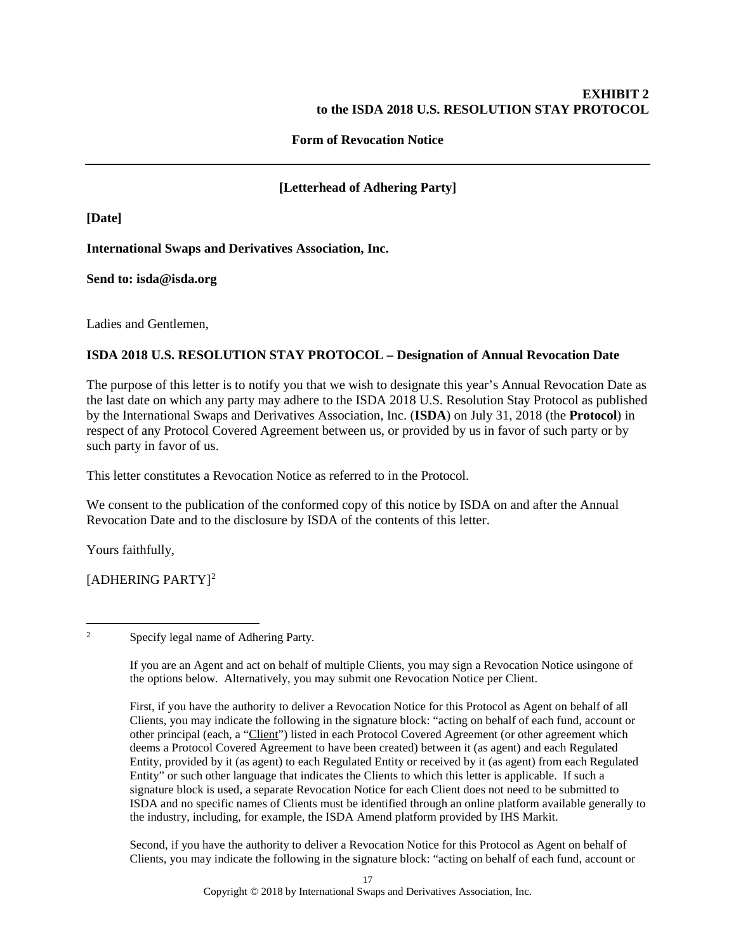### **EXHIBIT 2 to the ISDA 2018 U.S. RESOLUTION STAY PROTOCOL**

### **Form of Revocation Notice**

## **[Letterhead of Adhering Party]**

**[Date]**

### **International Swaps and Derivatives Association, Inc.**

**Send to: isda@isda.org**

Ladies and Gentlemen,

### **ISDA 2018 U.S. RESOLUTION STAY PROTOCOL – Designation of Annual Revocation Date**

The purpose of this letter is to notify you that we wish to designate this year's Annual Revocation Date as the last date on which any party may adhere to the ISDA 2018 U.S. Resolution Stay Protocol as published by the International Swaps and Derivatives Association, Inc. (**ISDA**) on July 31, 2018 (the **Protocol**) in respect of any Protocol Covered Agreement between us, or provided by us in favor of such party or by such party in favor of us.

This letter constitutes a Revocation Notice as referred to in the Protocol.

We consent to the publication of the conformed copy of this notice by ISDA on and after the Annual Revocation Date and to the disclosure by ISDA of the contents of this letter.

Yours faithfully,

[ADHERING PARTY][2](#page-16-0)

<span id="page-16-0"></span><sup>2</sup> Specify legal name of Adhering Party.

If you are an Agent and act on behalf of multiple Clients, you may sign a Revocation Notice usingone of the options below. Alternatively, you may submit one Revocation Notice per Client.

First, if you have the authority to deliver a Revocation Notice for this Protocol as Agent on behalf of all Clients, you may indicate the following in the signature block: "acting on behalf of each fund, account or other principal (each, a "Client") listed in each Protocol Covered Agreement (or other agreement which deems a Protocol Covered Agreement to have been created) between it (as agent) and each Regulated Entity, provided by it (as agent) to each Regulated Entity or received by it (as agent) from each Regulated Entity" or such other language that indicates the Clients to which this letter is applicable. If such a signature block is used, a separate Revocation Notice for each Client does not need to be submitted to ISDA and no specific names of Clients must be identified through an online platform available generally to the industry, including, for example, the ISDA Amend platform provided by IHS Markit.

Second, if you have the authority to deliver a Revocation Notice for this Protocol as Agent on behalf of Clients, you may indicate the following in the signature block: "acting on behalf of each fund, account or

Copyright © 2018 by International Swaps and Derivatives Association, Inc.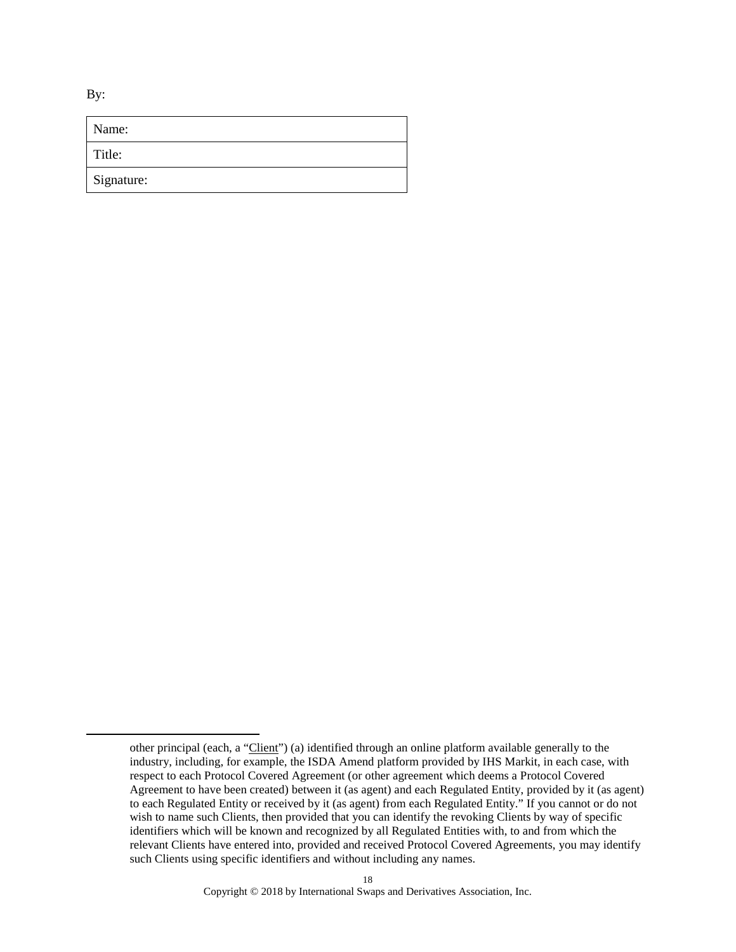By:

| Name:      |
|------------|
| Title:     |
| Signature: |

other principal (each, a "Client") (a) identified through an online platform available generally to the industry, including, for example, the ISDA Amend platform provided by IHS Markit, in each case, with respect to each Protocol Covered Agreement (or other agreement which deems a Protocol Covered Agreement to have been created) between it (as agent) and each Regulated Entity, provided by it (as agent) to each Regulated Entity or received by it (as agent) from each Regulated Entity." If you cannot or do not wish to name such Clients, then provided that you can identify the revoking Clients by way of specific identifiers which will be known and recognized by all Regulated Entities with, to and from which the relevant Clients have entered into, provided and received Protocol Covered Agreements, you may identify such Clients using specific identifiers and without including any names.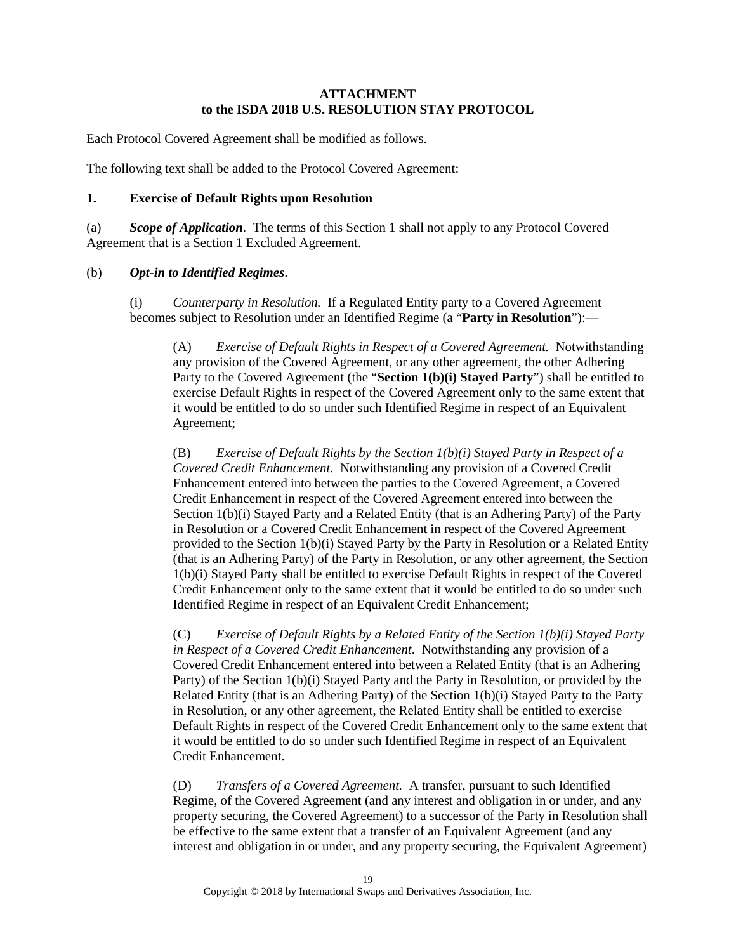#### **ATTACHMENT to the ISDA 2018 U.S. RESOLUTION STAY PROTOCOL**

Each Protocol Covered Agreement shall be modified as follows.

The following text shall be added to the Protocol Covered Agreement:

#### <span id="page-18-2"></span>**1. Exercise of Default Rights upon Resolution**

(a) *Scope of Application*. The terms of this Section 1 shall not apply to any Protocol Covered Agreement that is a Section 1 Excluded Agreement.

#### <span id="page-18-1"></span><span id="page-18-0"></span>(b) *Opt-in to Identified Regimes*.

<span id="page-18-3"></span>(i) *Counterparty in Resolution.* If a Regulated Entity party to a Covered Agreement becomes subject to Resolution under an Identified Regime (a "**Party in Resolution**"):—

(A) *Exercise of Default Rights in Respect of a Covered Agreement.* Notwithstanding any provision of the Covered Agreement, or any other agreement, the other Adhering Party to the Covered Agreement (the "**Section 1(b)(i) Stayed Party**") shall be entitled to exercise Default Rights in respect of the Covered Agreement only to the same extent that it would be entitled to do so under such Identified Regime in respect of an Equivalent Agreement;

(B) *Exercise of Default Rights by the Section 1(b)(i) Stayed Party in Respect of a Covered Credit Enhancement.* Notwithstanding any provision of a Covered Credit Enhancement entered into between the parties to the Covered Agreement, a Covered Credit Enhancement in respect of the Covered Agreement entered into between the Section 1(b)(i) Stayed Party and a Related Entity (that is an Adhering Party) of the Party in Resolution or a Covered Credit Enhancement in respect of the Covered Agreement provided to the Section 1(b)(i) Stayed Party by the Party in Resolution or a Related Entity (that is an Adhering Party) of the Party in Resolution, or any other agreement, the Section 1(b)(i) Stayed Party shall be entitled to exercise Default Rights in respect of the Covered Credit Enhancement only to the same extent that it would be entitled to do so under such Identified Regime in respect of an Equivalent Credit Enhancement;

(C) *Exercise of Default Rights by a Related Entity of the Section 1(b)(i) Stayed Party in Respect of a Covered Credit Enhancement*. Notwithstanding any provision of a Covered Credit Enhancement entered into between a Related Entity (that is an Adhering Party) of the Section 1(b)(i) Stayed Party and the Party in Resolution, or provided by the Related Entity (that is an Adhering Party) of the Section 1(b)(i) Stayed Party to the Party in Resolution, or any other agreement, the Related Entity shall be entitled to exercise Default Rights in respect of the Covered Credit Enhancement only to the same extent that it would be entitled to do so under such Identified Regime in respect of an Equivalent Credit Enhancement.

(D) *Transfers of a Covered Agreement.* A transfer, pursuant to such Identified Regime, of the Covered Agreement (and any interest and obligation in or under, and any property securing, the Covered Agreement) to a successor of the Party in Resolution shall be effective to the same extent that a transfer of an Equivalent Agreement (and any interest and obligation in or under, and any property securing, the Equivalent Agreement)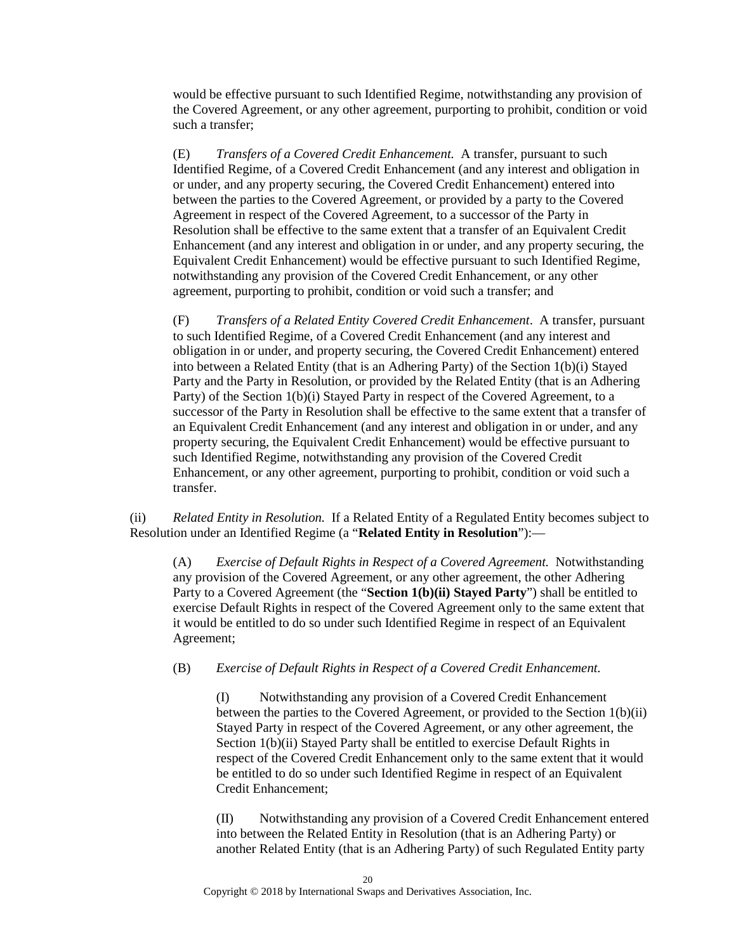would be effective pursuant to such Identified Regime, notwithstanding any provision of the Covered Agreement, or any other agreement, purporting to prohibit, condition or void such a transfer;

(E) *Transfers of a Covered Credit Enhancement.* A transfer, pursuant to such Identified Regime, of a Covered Credit Enhancement (and any interest and obligation in or under, and any property securing, the Covered Credit Enhancement) entered into between the parties to the Covered Agreement, or provided by a party to the Covered Agreement in respect of the Covered Agreement, to a successor of the Party in Resolution shall be effective to the same extent that a transfer of an Equivalent Credit Enhancement (and any interest and obligation in or under, and any property securing, the Equivalent Credit Enhancement) would be effective pursuant to such Identified Regime, notwithstanding any provision of the Covered Credit Enhancement, or any other agreement, purporting to prohibit, condition or void such a transfer; and

(F) *Transfers of a Related Entity Covered Credit Enhancement*. A transfer, pursuant to such Identified Regime, of a Covered Credit Enhancement (and any interest and obligation in or under, and property securing, the Covered Credit Enhancement) entered into between a Related Entity (that is an Adhering Party) of the Section 1(b)(i) Stayed Party and the Party in Resolution, or provided by the Related Entity (that is an Adhering Party) of the Section 1(b)(i) Stayed Party in respect of the Covered Agreement, to a successor of the Party in Resolution shall be effective to the same extent that a transfer of an Equivalent Credit Enhancement (and any interest and obligation in or under, and any property securing, the Equivalent Credit Enhancement) would be effective pursuant to such Identified Regime, notwithstanding any provision of the Covered Credit Enhancement, or any other agreement, purporting to prohibit, condition or void such a transfer.

<span id="page-19-1"></span><span id="page-19-0"></span>(ii) *Related Entity in Resolution.* If a Related Entity of a Regulated Entity becomes subject to Resolution under an Identified Regime (a "**Related Entity in Resolution**"):—

(A) *Exercise of Default Rights in Respect of a Covered Agreement.* Notwithstanding any provision of the Covered Agreement, or any other agreement, the other Adhering Party to a Covered Agreement (the "**Section 1(b)(ii) Stayed Party**") shall be entitled to exercise Default Rights in respect of the Covered Agreement only to the same extent that it would be entitled to do so under such Identified Regime in respect of an Equivalent Agreement;

#### (B) *Exercise of Default Rights in Respect of a Covered Credit Enhancement.*

(I) Notwithstanding any provision of a Covered Credit Enhancement between the parties to the Covered Agreement, or provided to the Section 1(b)(ii) Stayed Party in respect of the Covered Agreement, or any other agreement, the Section 1(b)(ii) Stayed Party shall be entitled to exercise Default Rights in respect of the Covered Credit Enhancement only to the same extent that it would be entitled to do so under such Identified Regime in respect of an Equivalent Credit Enhancement;

(II) Notwithstanding any provision of a Covered Credit Enhancement entered into between the Related Entity in Resolution (that is an Adhering Party) or another Related Entity (that is an Adhering Party) of such Regulated Entity party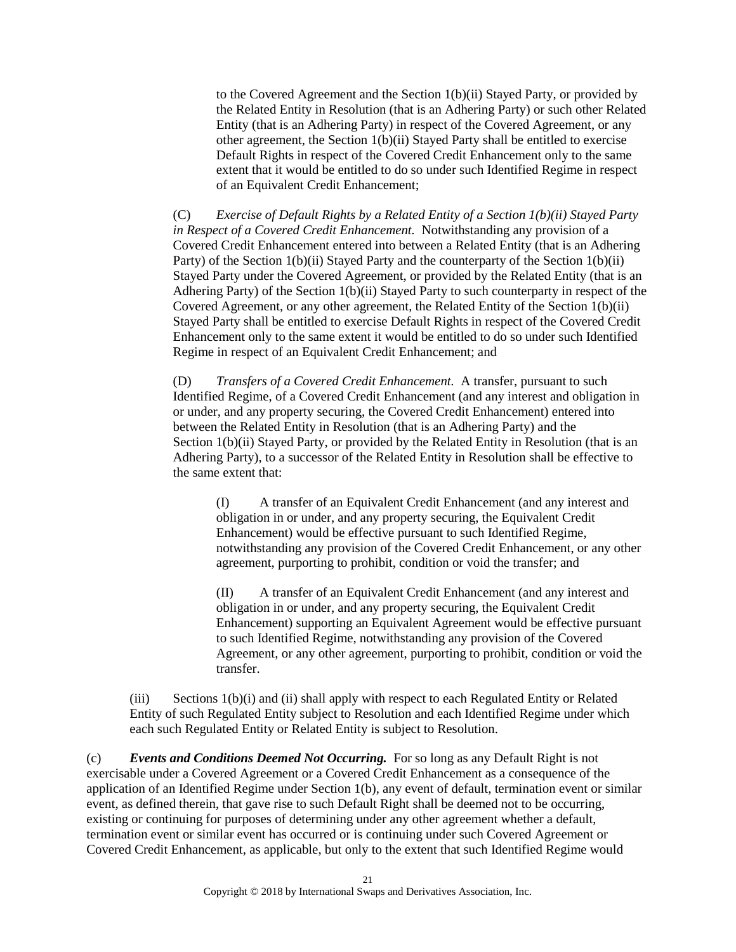to the Covered Agreement and the Section 1(b)(ii) Stayed Party, or provided by the Related Entity in Resolution (that is an Adhering Party) or such other Related Entity (that is an Adhering Party) in respect of the Covered Agreement, or any other agreement, the Section 1(b)(ii) Stayed Party shall be entitled to exercise Default Rights in respect of the Covered Credit Enhancement only to the same extent that it would be entitled to do so under such Identified Regime in respect of an Equivalent Credit Enhancement;

(C) *Exercise of Default Rights by a Related Entity of a Section 1(b)(ii) Stayed Party in Respect of a Covered Credit Enhancement.* Notwithstanding any provision of a Covered Credit Enhancement entered into between a Related Entity (that is an Adhering Party) of the Section 1(b)(ii) Stayed Party and the counterparty of the Section 1(b)(ii) Stayed Party under the Covered Agreement, or provided by the Related Entity (that is an Adhering Party) of the Section 1(b)(ii) Stayed Party to such counterparty in respect of the Covered Agreement, or any other agreement, the Related Entity of the Section 1(b)(ii) Stayed Party shall be entitled to exercise Default Rights in respect of the Covered Credit Enhancement only to the same extent it would be entitled to do so under such Identified Regime in respect of an Equivalent Credit Enhancement; and

(D) *Transfers of a Covered Credit Enhancement.* A transfer, pursuant to such Identified Regime, of a Covered Credit Enhancement (and any interest and obligation in or under, and any property securing, the Covered Credit Enhancement) entered into between the Related Entity in Resolution (that is an Adhering Party) and the Section 1(b)(ii) Stayed Party, or provided by the Related Entity in Resolution (that is an Adhering Party), to a successor of the Related Entity in Resolution shall be effective to the same extent that:

(I) A transfer of an Equivalent Credit Enhancement (and any interest and obligation in or under, and any property securing, the Equivalent Credit Enhancement) would be effective pursuant to such Identified Regime, notwithstanding any provision of the Covered Credit Enhancement, or any other agreement, purporting to prohibit, condition or void the transfer; and

(II) A transfer of an Equivalent Credit Enhancement (and any interest and obligation in or under, and any property securing, the Equivalent Credit Enhancement) supporting an Equivalent Agreement would be effective pursuant to such Identified Regime, notwithstanding any provision of the Covered Agreement, or any other agreement, purporting to prohibit, condition or void the transfer.

(iii) Sections [1\(b\)\(i\)](#page-18-0) and [\(ii\)](#page-19-0) shall apply with respect to each Regulated Entity or Related Entity of such Regulated Entity subject to Resolution and each Identified Regime under which each such Regulated Entity or Related Entity is subject to Resolution.

(c) *Events and Conditions Deemed Not Occurring.* For so long as any Default Right is not exercisable under a Covered Agreement or a Covered Credit Enhancement as a consequence of the application of an Identified Regime under Section [1\(b\),](#page-18-1) any event of default, termination event or similar event, as defined therein, that gave rise to such Default Right shall be deemed not to be occurring, existing or continuing for purposes of determining under any other agreement whether a default, termination event or similar event has occurred or is continuing under such Covered Agreement or Covered Credit Enhancement, as applicable, but only to the extent that such Identified Regime would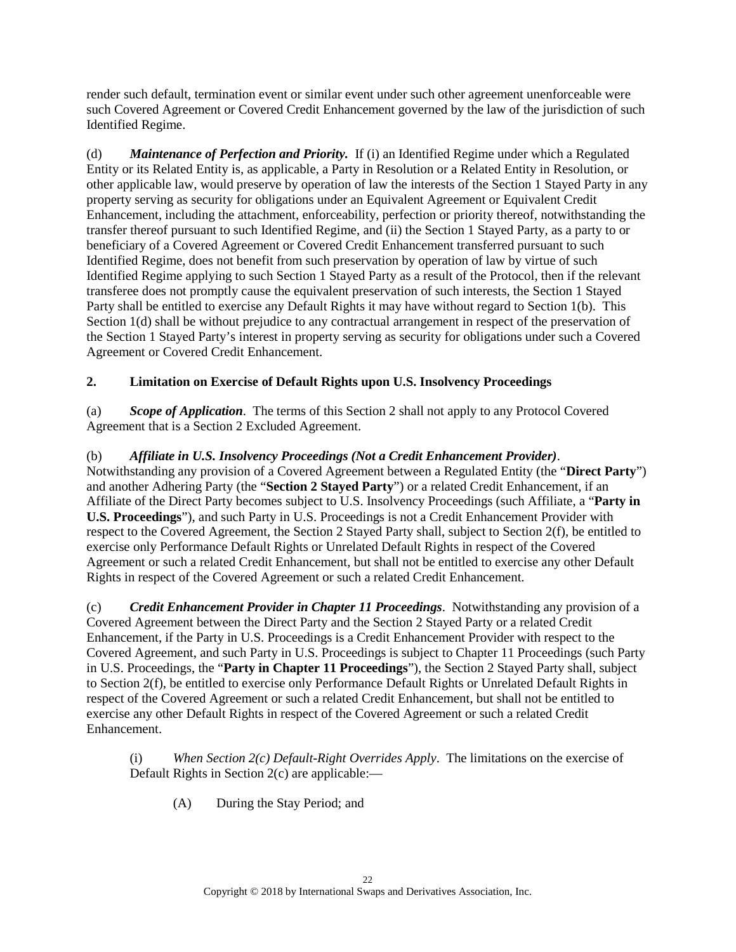render such default, termination event or similar event under such other agreement unenforceable were such Covered Agreement or Covered Credit Enhancement governed by the law of the jurisdiction of such Identified Regime.

<span id="page-21-0"></span>(d) *Maintenance of Perfection and Priority.* If (i) an Identified Regime under which a Regulated Entity or its Related Entity is, as applicable, a Party in Resolution or a Related Entity in Resolution, or other applicable law, would preserve by operation of law the interests of the Section 1 Stayed Party in any property serving as security for obligations under an Equivalent Agreement or Equivalent Credit Enhancement, including the attachment, enforceability, perfection or priority thereof, notwithstanding the transfer thereof pursuant to such Identified Regime, and (ii) the Section 1 Stayed Party, as a party to or beneficiary of a Covered Agreement or Covered Credit Enhancement transferred pursuant to such Identified Regime, does not benefit from such preservation by operation of law by virtue of such Identified Regime applying to such Section 1 Stayed Party as a result of the Protocol, then if the relevant transferee does not promptly cause the equivalent preservation of such interests, the Section 1 Stayed Party shall be entitled to exercise any Default Rights it may have without regard to Section [1\(b\).](#page-18-1) This Sectio[n 1\(d\)](#page-21-0) shall be without prejudice to any contractual arrangement in respect of the preservation of the Section 1 Stayed Party's interest in property serving as security for obligations under such a Covered Agreement or Covered Credit Enhancement.

# <span id="page-21-4"></span>**2. Limitation on Exercise of Default Rights upon U.S. Insolvency Proceedings**

(a) *Scope of Application*. The terms of this Section 2 shall not apply to any Protocol Covered Agreement that is a Section 2 Excluded Agreement.

<span id="page-21-3"></span>(b) *Affiliate in U.S. Insolvency Proceedings (Not a Credit Enhancement Provider)*. Notwithstanding any provision of a Covered Agreement between a Regulated Entity (the "**Direct Party**") and another Adhering Party (the "**Section 2 Stayed Party**") or a related Credit Enhancement, if an Affiliate of the Direct Party becomes subject to U.S. Insolvency Proceedings (such Affiliate, a "**Party in U.S. Proceedings**"), and such Party in U.S. Proceedings is not a Credit Enhancement Provider with respect to the Covered Agreement, the Section 2 Stayed Party shall, subject to Section [2\(f\),](#page-24-0) be entitled to exercise only Performance Default Rights or Unrelated Default Rights in respect of the Covered Agreement or such a related Credit Enhancement, but shall not be entitled to exercise any other Default Rights in respect of the Covered Agreement or such a related Credit Enhancement.

<span id="page-21-1"></span>(c) *Credit Enhancement Provider in Chapter 11 Proceedings*. Notwithstanding any provision of a Covered Agreement between the Direct Party and the Section 2 Stayed Party or a related Credit Enhancement, if the Party in U.S. Proceedings is a Credit Enhancement Provider with respect to the Covered Agreement, and such Party in U.S. Proceedings is subject to Chapter 11 Proceedings (such Party in U.S. Proceedings, the "**Party in Chapter 11 Proceedings**"), the Section 2 Stayed Party shall, subject to Section [2\(f\),](#page-24-0) be entitled to exercise only Performance Default Rights or Unrelated Default Rights in respect of the Covered Agreement or such a related Credit Enhancement, but shall not be entitled to exercise any other Default Rights in respect of the Covered Agreement or such a related Credit Enhancement.

<span id="page-21-2"></span>(i) *When Section [2\(c\)](#page-21-1) Default-Right Overrides Apply*. The limitations on the exercise of Default Rights in Section [2\(c\)](#page-21-1) are applicable:—

(A) During the Stay Period; and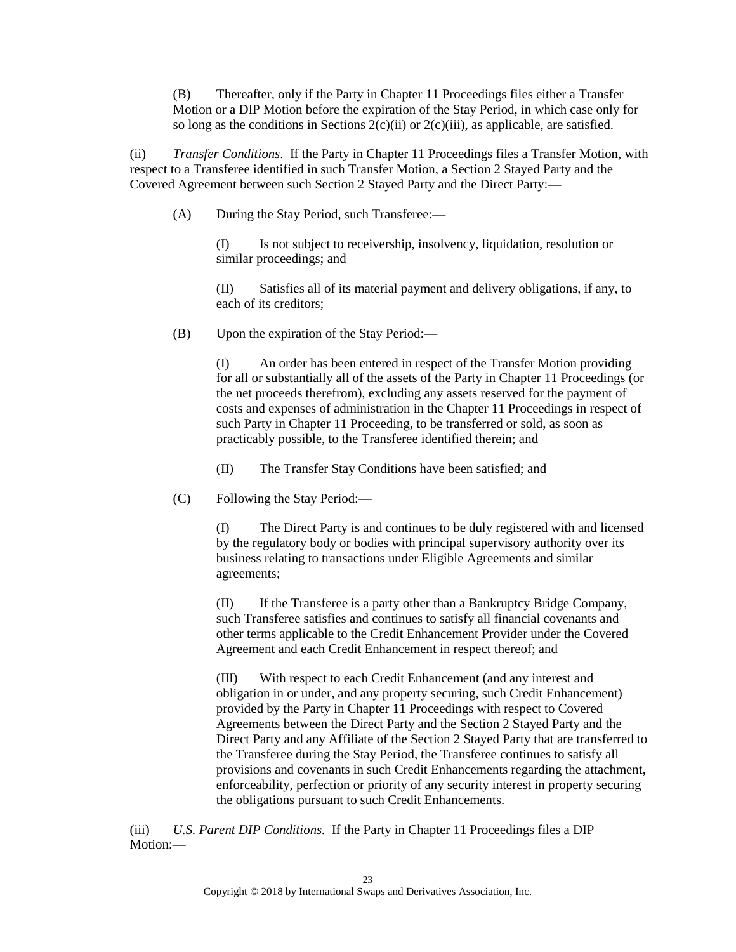(B) Thereafter, only if the Party in Chapter 11 Proceedings files either a Transfer Motion or a DIP Motion before the expiration of the Stay Period, in which case only for so long as the conditions in Sections [2\(c\)\(ii\)](#page-22-0) or [2\(c\)\(iii\),](#page-22-1) as applicable, are satisfied.

<span id="page-22-0"></span>(ii) *Transfer Conditions*. If the Party in Chapter 11 Proceedings files a Transfer Motion, with respect to a Transferee identified in such Transfer Motion, a Section 2 Stayed Party and the Covered Agreement between such Section 2 Stayed Party and the Direct Party:—

(A) During the Stay Period, such Transferee:—

(I) Is not subject to receivership, insolvency, liquidation, resolution or similar proceedings; and

(II) Satisfies all of its material payment and delivery obligations, if any, to each of its creditors;

(B) Upon the expiration of the Stay Period:—

(I) An order has been entered in respect of the Transfer Motion providing for all or substantially all of the assets of the Party in Chapter 11 Proceedings (or the net proceeds therefrom), excluding any assets reserved for the payment of costs and expenses of administration in the Chapter 11 Proceedings in respect of such Party in Chapter 11 Proceeding, to be transferred or sold, as soon as practicably possible, to the Transferee identified therein; and

(II) The Transfer Stay Conditions have been satisfied; and

(C) Following the Stay Period:—

(I) The Direct Party is and continues to be duly registered with and licensed by the regulatory body or bodies with principal supervisory authority over its business relating to transactions under Eligible Agreements and similar agreements;

(II) If the Transferee is a party other than a Bankruptcy Bridge Company, such Transferee satisfies and continues to satisfy all financial covenants and other terms applicable to the Credit Enhancement Provider under the Covered Agreement and each Credit Enhancement in respect thereof; and

(III) With respect to each Credit Enhancement (and any interest and obligation in or under, and any property securing, such Credit Enhancement) provided by the Party in Chapter 11 Proceedings with respect to Covered Agreements between the Direct Party and the Section 2 Stayed Party and the Direct Party and any Affiliate of the Section 2 Stayed Party that are transferred to the Transferee during the Stay Period, the Transferee continues to satisfy all provisions and covenants in such Credit Enhancements regarding the attachment, enforceability, perfection or priority of any security interest in property securing the obligations pursuant to such Credit Enhancements.

<span id="page-22-1"></span>(iii) *U.S. Parent DIP Conditions.* If the Party in Chapter 11 Proceedings files a DIP Motion:—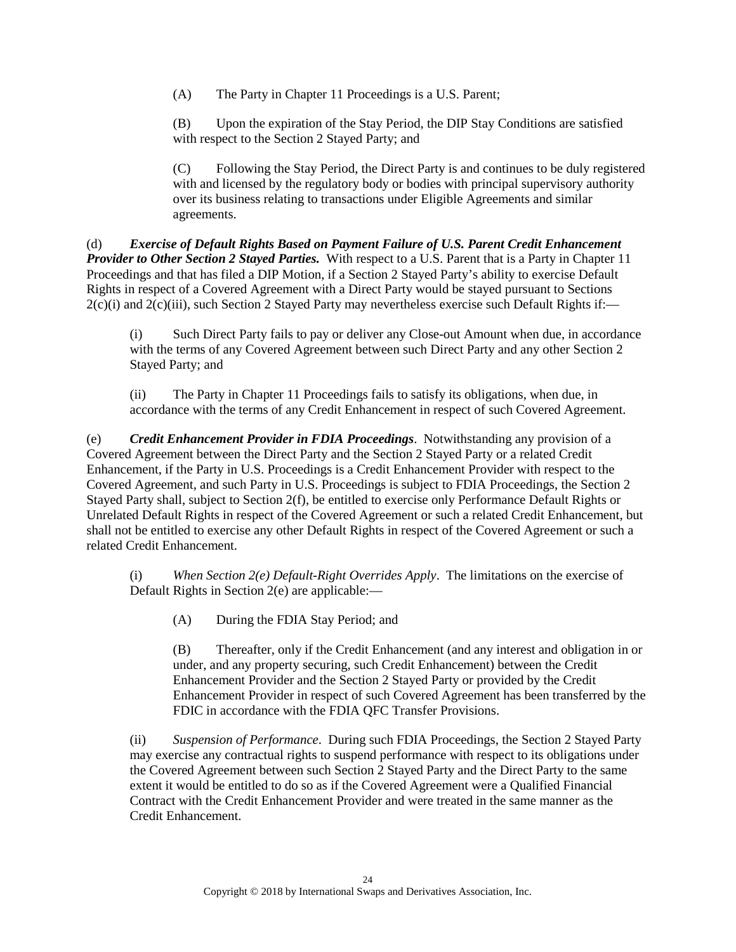(A) The Party in Chapter 11 Proceedings is a U.S. Parent;

(B) Upon the expiration of the Stay Period, the DIP Stay Conditions are satisfied with respect to the Section 2 Stayed Party; and

(C) Following the Stay Period, the Direct Party is and continues to be duly registered with and licensed by the regulatory body or bodies with principal supervisory authority over its business relating to transactions under Eligible Agreements and similar agreements.

(d) *Exercise of Default Rights Based on Payment Failure of U.S. Parent Credit Enhancement Provider to Other Section 2 Stayed Parties.* With respect to a U.S. Parent that is a Party in Chapter 11 Proceedings and that has filed a DIP Motion, if a Section 2 Stayed Party's ability to exercise Default Rights in respect of a Covered Agreement with a Direct Party would be stayed pursuant to Sections  $2(c)(i)$  and  $2(c)(iii)$ , such Section 2 Stayed Party may nevertheless exercise such Default Rights if:

(i) Such Direct Party fails to pay or deliver any Close-out Amount when due, in accordance with the terms of any Covered Agreement between such Direct Party and any other Section 2 Stayed Party; and

(ii) The Party in Chapter 11 Proceedings fails to satisfy its obligations, when due, in accordance with the terms of any Credit Enhancement in respect of such Covered Agreement.

<span id="page-23-0"></span>(e) *Credit Enhancement Provider in FDIA Proceedings*. Notwithstanding any provision of a Covered Agreement between the Direct Party and the Section 2 Stayed Party or a related Credit Enhancement, if the Party in U.S. Proceedings is a Credit Enhancement Provider with respect to the Covered Agreement, and such Party in U.S. Proceedings is subject to FDIA Proceedings, the Section 2 Stayed Party shall, subject to Section [2\(f\),](#page-24-0) be entitled to exercise only Performance Default Rights or Unrelated Default Rights in respect of the Covered Agreement or such a related Credit Enhancement, but shall not be entitled to exercise any other Default Rights in respect of the Covered Agreement or such a related Credit Enhancement.

(i) *When Section [2\(e\)](#page-23-0) Default-Right Overrides Apply*. The limitations on the exercise of Default Rights in Section [2\(e\)](#page-23-0) are applicable:—

(A) During the FDIA Stay Period; and

(B) Thereafter, only if the Credit Enhancement (and any interest and obligation in or under, and any property securing, such Credit Enhancement) between the Credit Enhancement Provider and the Section 2 Stayed Party or provided by the Credit Enhancement Provider in respect of such Covered Agreement has been transferred by the FDIC in accordance with the FDIA QFC Transfer Provisions.

(ii) *Suspension of Performance*. During such FDIA Proceedings, the Section 2 Stayed Party may exercise any contractual rights to suspend performance with respect to its obligations under the Covered Agreement between such Section 2 Stayed Party and the Direct Party to the same extent it would be entitled to do so as if the Covered Agreement were a Qualified Financial Contract with the Credit Enhancement Provider and were treated in the same manner as the Credit Enhancement.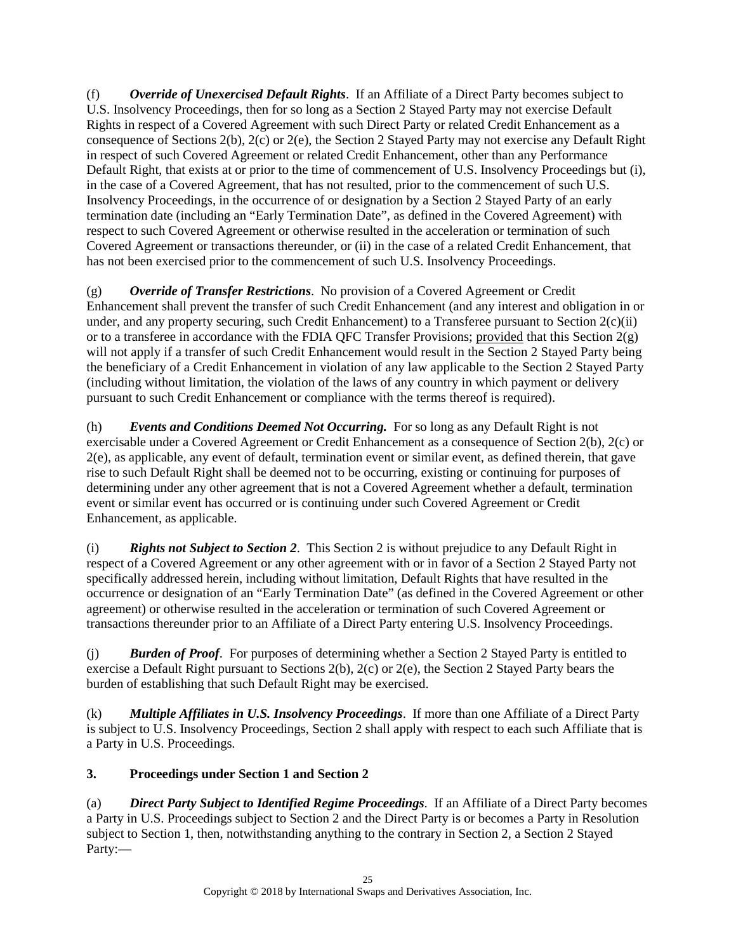<span id="page-24-0"></span>(f) *Override of Unexercised Default Rights*. If an Affiliate of a Direct Party becomes subject to U.S. Insolvency Proceedings, then for so long as a Section 2 Stayed Party may not exercise Default Rights in respect of a Covered Agreement with such Direct Party or related Credit Enhancement as a consequence of Sections [2\(b\),](#page-21-3) [2\(c\)](#page-21-1) or [2\(e\),](#page-23-0) the Section 2 Stayed Party may not exercise any Default Right in respect of such Covered Agreement or related Credit Enhancement, other than any Performance Default Right, that exists at or prior to the time of commencement of U.S. Insolvency Proceedings but (i), in the case of a Covered Agreement, that has not resulted, prior to the commencement of such U.S. Insolvency Proceedings, in the occurrence of or designation by a Section 2 Stayed Party of an early termination date (including an "Early Termination Date", as defined in the Covered Agreement) with respect to such Covered Agreement or otherwise resulted in the acceleration or termination of such Covered Agreement or transactions thereunder, or (ii) in the case of a related Credit Enhancement, that has not been exercised prior to the commencement of such U.S. Insolvency Proceedings.

<span id="page-24-1"></span>(g) *Override of Transfer Restrictions*. No provision of a Covered Agreement or Credit Enhancement shall prevent the transfer of such Credit Enhancement (and any interest and obligation in or under, and any property securing, such Credit Enhancement) to a Transferee pursuant to Section [2\(c\)\(ii\)](#page-22-0) or to a transferee in accordance with the FDIA QFC Transfer Provisions; provided that this Section [2\(g\)](#page-24-1) will not apply if a transfer of such Credit Enhancement would result in the Section 2 Stayed Party being the beneficiary of a Credit Enhancement in violation of any law applicable to the Section 2 Stayed Party (including without limitation, the violation of the laws of any country in which payment or delivery pursuant to such Credit Enhancement or compliance with the terms thereof is required).

(h) *Events and Conditions Deemed Not Occurring.* For so long as any Default Right is not exercisable under a Covered Agreement or Credit Enhancement as a consequence of Section [2\(b\),](#page-21-3) [2\(c\)](#page-21-1) or [2\(e\),](#page-23-0) as applicable, any event of default, termination event or similar event, as defined therein, that gave rise to such Default Right shall be deemed not to be occurring, existing or continuing for purposes of determining under any other agreement that is not a Covered Agreement whether a default, termination event or similar event has occurred or is continuing under such Covered Agreement or Credit Enhancement, as applicable.

(i) *Rights not Subject to Section 2*. This Section [2](#page-21-4) is without prejudice to any Default Right in respect of a Covered Agreement or any other agreement with or in favor of a Section 2 Stayed Party not specifically addressed herein, including without limitation, Default Rights that have resulted in the occurrence or designation of an "Early Termination Date" (as defined in the Covered Agreement or other agreement) or otherwise resulted in the acceleration or termination of such Covered Agreement or transactions thereunder prior to an Affiliate of a Direct Party entering U.S. Insolvency Proceedings.

(j) *Burden of Proof*. For purposes of determining whether a Section 2 Stayed Party is entitled to exercise a Default Right pursuant to Sections [2\(b\),](#page-21-3) [2\(c\)](#page-21-1) or [2\(e\),](#page-23-0) the Section 2 Stayed Party bears the burden of establishing that such Default Right may be exercised.

(k) *Multiple Affiliates in U.S. Insolvency Proceedings*. If more than one Affiliate of a Direct Party is subject to U.S. Insolvency Proceedings, Sectio[n 2](#page-21-4) shall apply with respect to each such Affiliate that is a Party in U.S. Proceedings.

# **3. Proceedings under Section 1 and Section 2**

(a) *Direct Party Subject to Identified Regime Proceedings*. If an Affiliate of a Direct Party becomes a Party in U.S. Proceedings subject to Section 2 and the Direct Party is or becomes a Party in Resolution subject to Section 1, then, notwithstanding anything to the contrary in Section 2, a Section 2 Stayed Party:—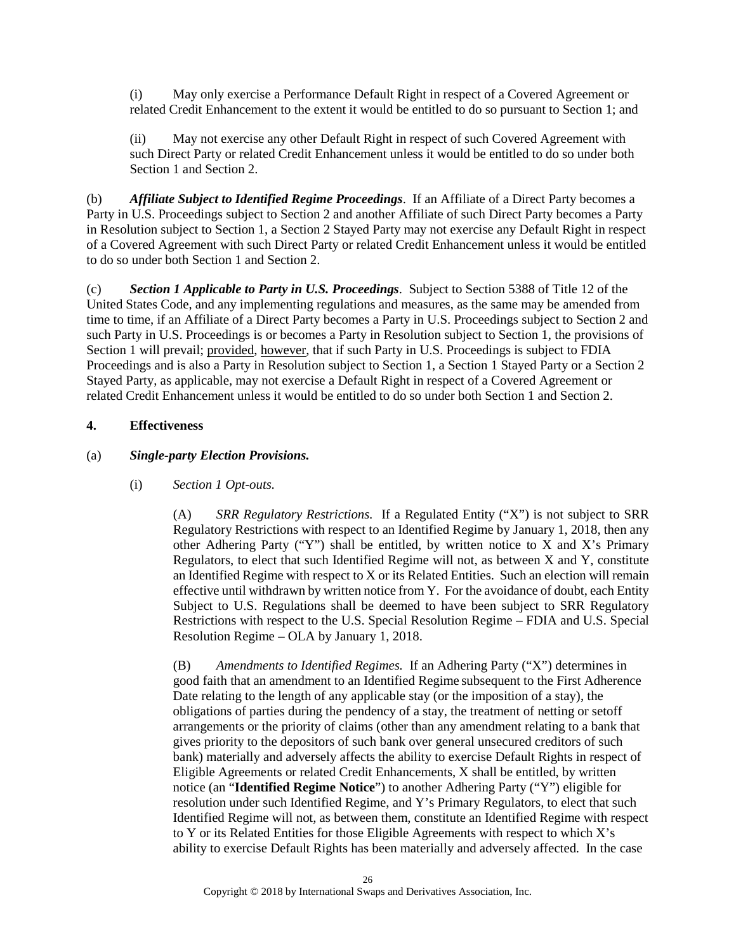(i) May only exercise a Performance Default Right in respect of a Covered Agreement or related Credit Enhancement to the extent it would be entitled to do so pursuant to Section 1; and

(ii) May not exercise any other Default Right in respect of such Covered Agreement with such Direct Party or related Credit Enhancement unless it would be entitled to do so under both Sectio[n 1](#page-18-2) and Section [2.](#page-21-4)

(b) *Affiliate Subject to Identified Regime Proceedings*. If an Affiliate of a Direct Party becomes a Party in U.S. Proceedings subject to Section [2](#page-21-4) and another Affiliate of such Direct Party becomes a Party in Resolution subject to Sectio[n 1,](#page-18-2) a Section 2 Stayed Party may not exercise any Default Right in respect of a Covered Agreement with such Direct Party or related Credit Enhancement unless it would be entitled to do so under both Section [1](#page-18-2) and Section [2.](#page-21-4)

(c) *Section 1 Applicable to Party in U.S. Proceedings*. Subject to Section 5388 of Title 12 of the United States Code, and any implementing regulations and measures, as the same may be amended from time to time, if an Affiliate of a Direct Party becomes a Party in U.S. Proceedings subject to Section [2](#page-21-4) and such Party in U.S. Proceedings is or becomes a Party in Resolution subject to Section [1,](#page-18-2) the provisions of Sectio[n 1](#page-18-2) will prevail; provided, however, that if such Party in U.S. Proceedings is subject to FDIA Proceedings and is also a Party in Resolution subject to Section [1,](#page-18-2) a Section 1 Stayed Party or a Section 2 Stayed Party, as applicable, may not exercise a Default Right in respect of a Covered Agreement or related Credit Enhancement unless it would be entitled to do so under both Section [1](#page-18-2) and Section [2.](#page-21-4)

### <span id="page-25-1"></span>**4. Effectiveness**

### <span id="page-25-0"></span>(a) *Single-party Election Provisions.*

### (i) *Section 1 Opt-outs.*

(A) *SRR Regulatory Restrictions.* If a Regulated Entity ("X") is not subject to SRR Regulatory Restrictions with respect to an Identified Regime by January 1, 2018, then any other Adhering Party ("Y") shall be entitled, by written notice to X and X's Primary Regulators, to elect that such Identified Regime will not, as between X and Y, constitute an Identified Regime with respect to X or its Related Entities. Such an election will remain effective until withdrawn by written notice from Y. For the avoidance of doubt, each Entity Subject to U.S. Regulations shall be deemed to have been subject to SRR Regulatory Restrictions with respect to the U.S. Special Resolution Regime – FDIA and U.S. Special Resolution Regime – OLA by January 1, 2018.

<span id="page-25-2"></span>(B) *Amendments to Identified Regimes.* If an Adhering Party ("X") determines in good faith that an amendment to an Identified Regime subsequent to the First Adherence Date relating to the length of any applicable stay (or the imposition of a stay), the obligations of parties during the pendency of a stay, the treatment of netting or setoff arrangements or the priority of claims (other than any amendment relating to a bank that gives priority to the depositors of such bank over general unsecured creditors of such bank) materially and adversely affects the ability to exercise Default Rights in respect of Eligible Agreements or related Credit Enhancements, X shall be entitled, by written notice (an "**Identified Regime Notice**") to another Adhering Party ("Y") eligible for resolution under such Identified Regime, and Y's Primary Regulators, to elect that such Identified Regime will not, as between them, constitute an Identified Regime with respect to Y or its Related Entities for those Eligible Agreements with respect to which X's ability to exercise Default Rights has been materially and adversely affected. In the case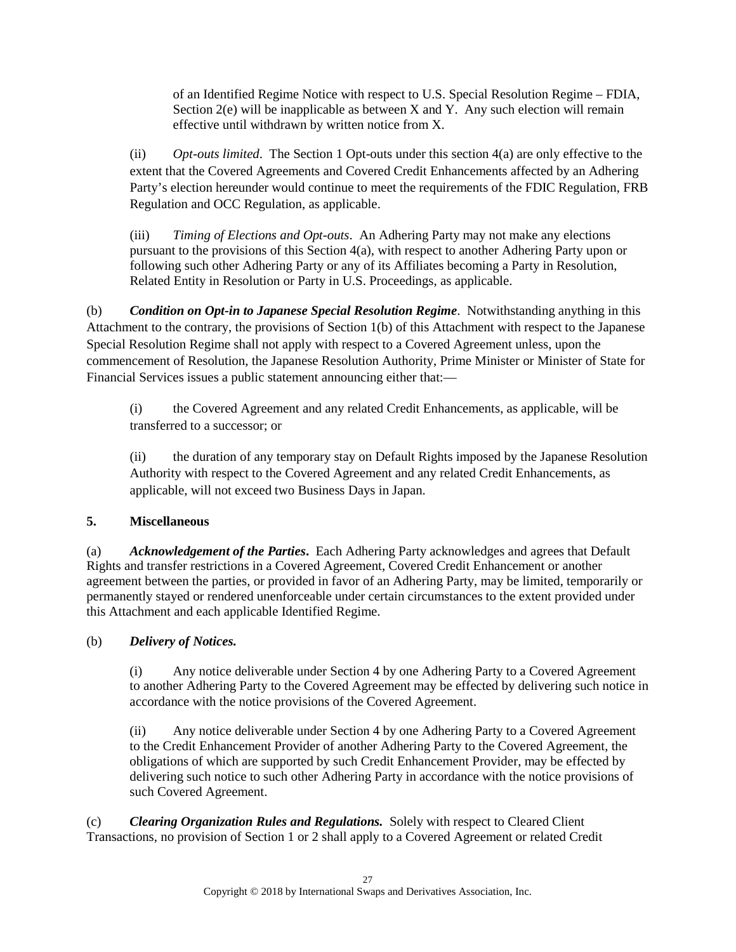of an Identified Regime Notice with respect to U.S. Special Resolution Regime – FDIA, Section  $2(e)$  will be inapplicable as between X and Y. Any such election will remain effective until withdrawn by written notice from X.

(ii) *Opt-outs limited*. The Section 1 Opt-outs under this section [4\(a\)](#page-25-0) are only effective to the extent that the Covered Agreements and Covered Credit Enhancements affected by an Adhering Party's election hereunder would continue to meet the requirements of the FDIC Regulation, FRB Regulation and OCC Regulation, as applicable.

(iii) *Timing of Elections and Opt-outs*. An Adhering Party may not make any elections pursuant to the provisions of this Section [4\(a\),](#page-25-0) with respect to another Adhering Party upon or following such other Adhering Party or any of its Affiliates becoming a Party in Resolution, Related Entity in Resolution or Party in U.S. Proceedings, as applicable.

(b) *Condition on Opt-in to Japanese Special Resolution Regime*. Notwithstanding anything in this Attachment to the contrary, the provisions of Section [1\(b\)](#page-18-1) of this Attachment with respect to the Japanese Special Resolution Regime shall not apply with respect to a Covered Agreement unless, upon the commencement of Resolution, the Japanese Resolution Authority, Prime Minister or Minister of State for Financial Services issues a public statement announcing either that:—

(i) the Covered Agreement and any related Credit Enhancements, as applicable, will be transferred to a successor; or

(ii) the duration of any temporary stay on Default Rights imposed by the Japanese Resolution Authority with respect to the Covered Agreement and any related Credit Enhancements, as applicable, will not exceed two Business Days in Japan.

# **5. Miscellaneous**

(a) *Acknowledgement of the Parties***.** Each Adhering Party acknowledges and agrees that Default Rights and transfer restrictions in a Covered Agreement, Covered Credit Enhancement or another agreement between the parties, or provided in favor of an Adhering Party, may be limited, temporarily or permanently stayed or rendered unenforceable under certain circumstances to the extent provided under this Attachment and each applicable Identified Regime.

# (b) *Delivery of Notices.*

(i) Any notice deliverable under Section [4](#page-25-1) by one Adhering Party to a Covered Agreement to another Adhering Party to the Covered Agreement may be effected by delivering such notice in accordance with the notice provisions of the Covered Agreement.

(ii) Any notice deliverable under Section [4](#page-25-1) by one Adhering Party to a Covered Agreement to the Credit Enhancement Provider of another Adhering Party to the Covered Agreement, the obligations of which are supported by such Credit Enhancement Provider, may be effected by delivering such notice to such other Adhering Party in accordance with the notice provisions of such Covered Agreement.

(c) *Clearing Organization Rules and Regulations.* Solely with respect to Cleared Client Transactions, no provision of Section [1](#page-18-2) or [2](#page-21-4) shall apply to a Covered Agreement or related Credit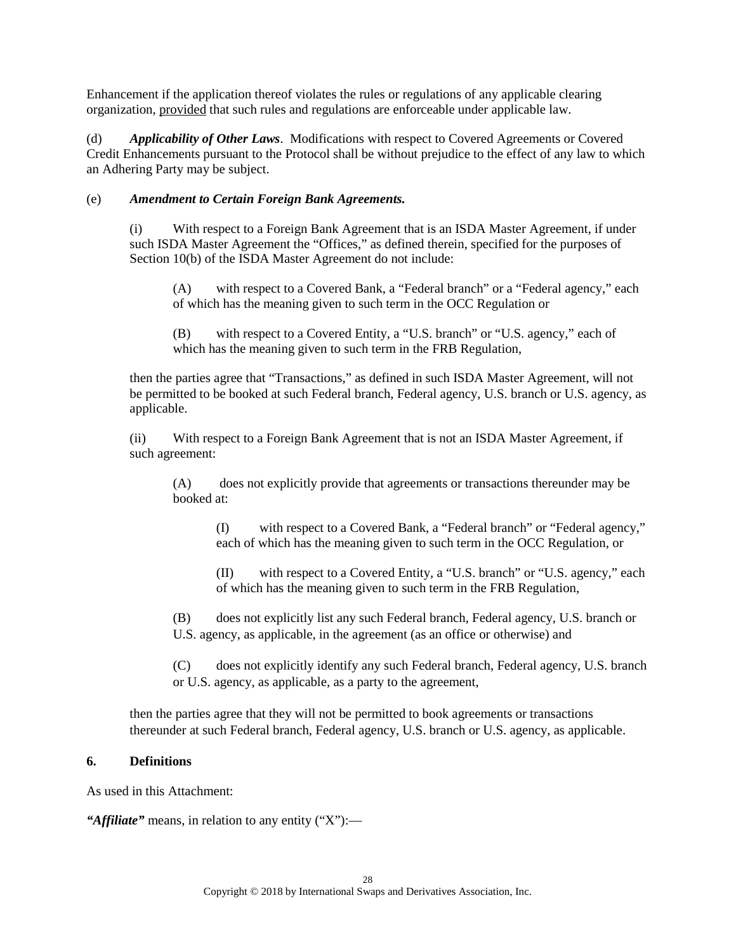Enhancement if the application thereof violates the rules or regulations of any applicable clearing organization, provided that such rules and regulations are enforceable under applicable law.

(d) *Applicability of Other Laws*. Modifications with respect to Covered Agreements or Covered Credit Enhancements pursuant to the Protocol shall be without prejudice to the effect of any law to which an Adhering Party may be subject.

## (e) *Amendment to Certain Foreign Bank Agreements.*

(i) With respect to a Foreign Bank Agreement that is an ISDA Master Agreement, if under such ISDA Master Agreement the "Offices," as defined therein, specified for the purposes of Section 10(b) of the ISDA Master Agreement do not include:

(A) with respect to a Covered Bank, a "Federal branch" or a "Federal agency," each of which has the meaning given to such term in the OCC Regulation or

(B) with respect to a Covered Entity, a "U.S. branch" or "U.S. agency," each of which has the meaning given to such term in the FRB Regulation,

then the parties agree that "Transactions," as defined in such ISDA Master Agreement, will not be permitted to be booked at such Federal branch, Federal agency, U.S. branch or U.S. agency, as applicable.

(ii) With respect to a Foreign Bank Agreement that is not an ISDA Master Agreement, if such agreement:

(A) does not explicitly provide that agreements or transactions thereunder may be booked at:

(I) with respect to a Covered Bank, a "Federal branch" or "Federal agency," each of which has the meaning given to such term in the OCC Regulation, or

(II) with respect to a Covered Entity, a "U.S. branch" or "U.S. agency," each of which has the meaning given to such term in the FRB Regulation,

(B) does not explicitly list any such Federal branch, Federal agency, U.S. branch or U.S. agency, as applicable, in the agreement (as an office or otherwise) and

(C) does not explicitly identify any such Federal branch, Federal agency, U.S. branch or U.S. agency, as applicable, as a party to the agreement,

then the parties agree that they will not be permitted to book agreements or transactions thereunder at such Federal branch, Federal agency, U.S. branch or U.S. agency, as applicable.

### **6. Definitions**

As used in this Attachment:

*"Affiliate"* means, in relation to any entity ("X"):—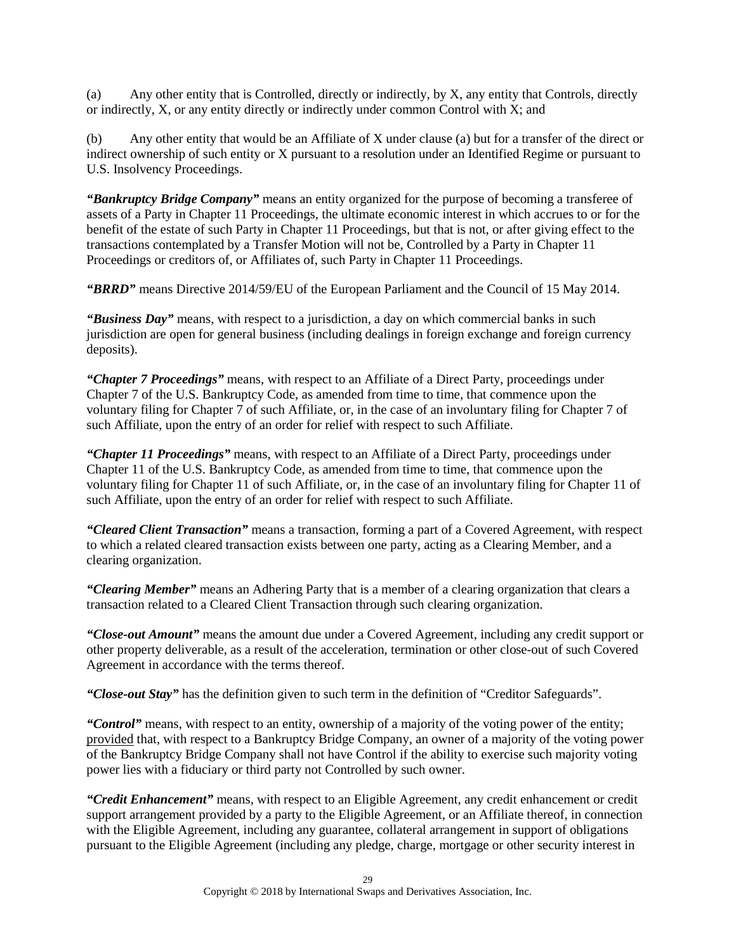(a) Any other entity that is Controlled, directly or indirectly, by X, any entity that Controls, directly or indirectly, X, or any entity directly or indirectly under common Control with X; and

(b) Any other entity that would be an Affiliate of X under clause (a) but for a transfer of the direct or indirect ownership of such entity or X pursuant to a resolution under an Identified Regime or pursuant to U.S. Insolvency Proceedings.

*"Bankruptcy Bridge Company"* means an entity organized for the purpose of becoming a transferee of assets of a Party in Chapter 11 Proceedings, the ultimate economic interest in which accrues to or for the benefit of the estate of such Party in Chapter 11 Proceedings, but that is not, or after giving effect to the transactions contemplated by a Transfer Motion will not be, Controlled by a Party in Chapter 11 Proceedings or creditors of, or Affiliates of, such Party in Chapter 11 Proceedings.

*"BRRD"* means Directive 2014/59/EU of the European Parliament and the Council of 15 May 2014.

*"Business Day"* means, with respect to a jurisdiction, a day on which commercial banks in such jurisdiction are open for general business (including dealings in foreign exchange and foreign currency deposits).

*"Chapter 7 Proceedings"* means, with respect to an Affiliate of a Direct Party, proceedings under Chapter 7 of the U.S. Bankruptcy Code, as amended from time to time, that commence upon the voluntary filing for Chapter 7 of such Affiliate, or, in the case of an involuntary filing for Chapter 7 of such Affiliate, upon the entry of an order for relief with respect to such Affiliate.

*"Chapter 11 Proceedings"* means, with respect to an Affiliate of a Direct Party, proceedings under Chapter 11 of the U.S. Bankruptcy Code, as amended from time to time, that commence upon the voluntary filing for Chapter 11 of such Affiliate, or, in the case of an involuntary filing for Chapter 11 of such Affiliate, upon the entry of an order for relief with respect to such Affiliate.

*"Cleared Client Transaction"* means a transaction, forming a part of a Covered Agreement, with respect to which a related cleared transaction exists between one party, acting as a Clearing Member, and a clearing organization.

*"Clearing Member"* means an Adhering Party that is a member of a clearing organization that clears a transaction related to a Cleared Client Transaction through such clearing organization.

*"Close-out Amount"* means the amount due under a Covered Agreement, including any credit support or other property deliverable, as a result of the acceleration, termination or other close-out of such Covered Agreement in accordance with the terms thereof.

*"Close-out Stay"* has the definition given to such term in the definition of "Creditor Safeguards".

*"Control"* means, with respect to an entity, ownership of a majority of the voting power of the entity; provided that, with respect to a Bankruptcy Bridge Company, an owner of a majority of the voting power of the Bankruptcy Bridge Company shall not have Control if the ability to exercise such majority voting power lies with a fiduciary or third party not Controlled by such owner.

*"Credit Enhancement"* means, with respect to an Eligible Agreement, any credit enhancement or credit support arrangement provided by a party to the Eligible Agreement, or an Affiliate thereof, in connection with the Eligible Agreement, including any guarantee, collateral arrangement in support of obligations pursuant to the Eligible Agreement (including any pledge, charge, mortgage or other security interest in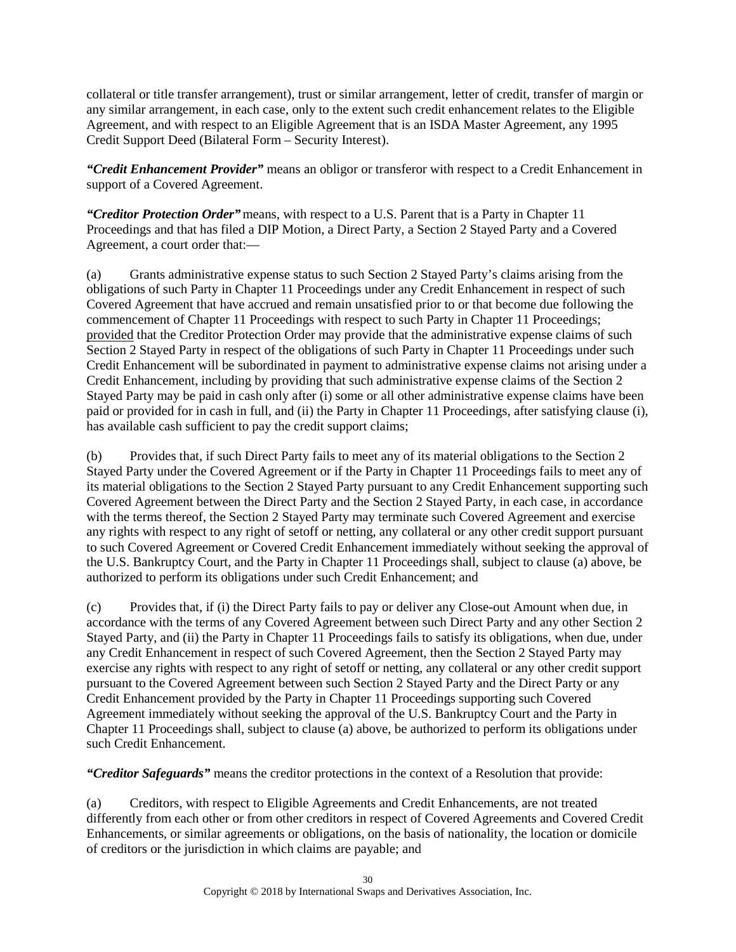collateral or title transfer arrangement), trust or similar arrangement, letter of credit, transfer of margin or any similar arrangement, in each case, only to the extent such credit enhancement relates to the Eligible Agreement, and with respect to an Eligible Agreement that is an ISDA Master Agreement, any 1995 Credit Support Deed (Bilateral Form – Security Interest).

*"Credit Enhancement Provider"* means an obligor or transferor with respect to a Credit Enhancement in support of a Covered Agreement.

*"Creditor Protection Order"*means, with respect to a U.S. Parent that is a Party in Chapter 11 Proceedings and that has filed a DIP Motion, a Direct Party, a Section 2 Stayed Party and a Covered Agreement, a court order that:—

(a) Grants administrative expense status to such Section 2 Stayed Party's claims arising from the obligations of such Party in Chapter 11 Proceedings under any Credit Enhancement in respect of such Covered Agreement that have accrued and remain unsatisfied prior to or that become due following the commencement of Chapter 11 Proceedings with respect to such Party in Chapter 11 Proceedings; provided that the Creditor Protection Order may provide that the administrative expense claims of such Section 2 Stayed Party in respect of the obligations of such Party in Chapter 11 Proceedings under such Credit Enhancement will be subordinated in payment to administrative expense claims not arising under a Credit Enhancement, including by providing that such administrative expense claims of the Section 2 Stayed Party may be paid in cash only after (i) some or all other administrative expense claims have been paid or provided for in cash in full, and (ii) the Party in Chapter 11 Proceedings, after satisfying clause (i), has available cash sufficient to pay the credit support claims;

(b) Provides that, if such Direct Party fails to meet any of its material obligations to the Section 2 Stayed Party under the Covered Agreement or if the Party in Chapter 11 Proceedings fails to meet any of its material obligations to the Section 2 Stayed Party pursuant to any Credit Enhancement supporting such Covered Agreement between the Direct Party and the Section 2 Stayed Party, in each case, in accordance with the terms thereof, the Section 2 Stayed Party may terminate such Covered Agreement and exercise any rights with respect to any right of setoff or netting, any collateral or any other credit support pursuant to such Covered Agreement or Covered Credit Enhancement immediately without seeking the approval of the U.S. Bankruptcy Court, and the Party in Chapter 11 Proceedings shall, subject to clause (a) above, be authorized to perform its obligations under such Credit Enhancement; and

(c) Provides that, if (i) the Direct Party fails to pay or deliver any Close-out Amount when due, in accordance with the terms of any Covered Agreement between such Direct Party and any other Section 2 Stayed Party, and (ii) the Party in Chapter 11 Proceedings fails to satisfy its obligations, when due, under any Credit Enhancement in respect of such Covered Agreement, then the Section 2 Stayed Party may exercise any rights with respect to any right of setoff or netting, any collateral or any other credit support pursuant to the Covered Agreement between such Section 2 Stayed Party and the Direct Party or any Credit Enhancement provided by the Party in Chapter 11 Proceedings supporting such Covered Agreement immediately without seeking the approval of the U.S. Bankruptcy Court and the Party in Chapter 11 Proceedings shall, subject to clause (a) above, be authorized to perform its obligations under such Credit Enhancement.

*"Creditor Safeguards"* means the creditor protections in the context of a Resolution that provide:

(a) Creditors, with respect to Eligible Agreements and Credit Enhancements, are not treated differently from each other or from other creditors in respect of Covered Agreements and Covered Credit Enhancements, or similar agreements or obligations, on the basis of nationality, the location or domicile of creditors or the jurisdiction in which claims are payable; and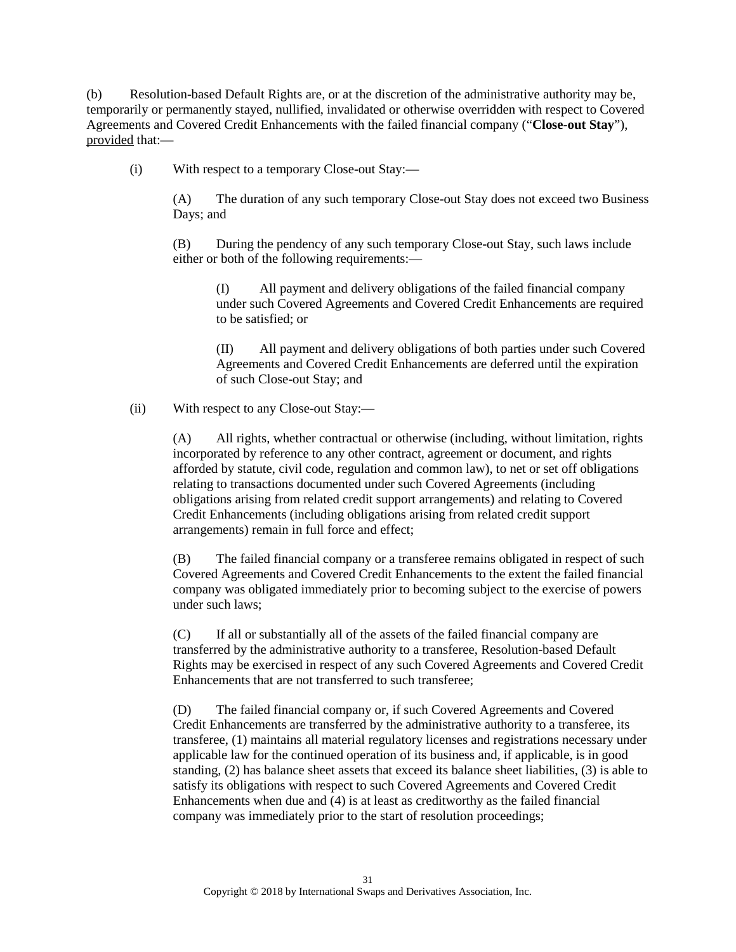(b) Resolution-based Default Rights are, or at the discretion of the administrative authority may be, temporarily or permanently stayed, nullified, invalidated or otherwise overridden with respect to Covered Agreements and Covered Credit Enhancements with the failed financial company ("**Close-out Stay**"), provided that:—

(i) With respect to a temporary Close-out Stay:—

(A) The duration of any such temporary Close-out Stay does not exceed two Business Days; and

(B) During the pendency of any such temporary Close-out Stay, such laws include either or both of the following requirements:—

(I) All payment and delivery obligations of the failed financial company under such Covered Agreements and Covered Credit Enhancements are required to be satisfied; or

(II) All payment and delivery obligations of both parties under such Covered Agreements and Covered Credit Enhancements are deferred until the expiration of such Close-out Stay; and

(ii) With respect to any Close-out Stay:—

(A) All rights, whether contractual or otherwise (including, without limitation, rights incorporated by reference to any other contract, agreement or document, and rights afforded by statute, civil code, regulation and common law), to net or set off obligations relating to transactions documented under such Covered Agreements (including obligations arising from related credit support arrangements) and relating to Covered Credit Enhancements (including obligations arising from related credit support arrangements) remain in full force and effect;

(B) The failed financial company or a transferee remains obligated in respect of such Covered Agreements and Covered Credit Enhancements to the extent the failed financial company was obligated immediately prior to becoming subject to the exercise of powers under such laws;

(C) If all or substantially all of the assets of the failed financial company are transferred by the administrative authority to a transferee, Resolution-based Default Rights may be exercised in respect of any such Covered Agreements and Covered Credit Enhancements that are not transferred to such transferee;

(D) The failed financial company or, if such Covered Agreements and Covered Credit Enhancements are transferred by the administrative authority to a transferee, its transferee, (1) maintains all material regulatory licenses and registrations necessary under applicable law for the continued operation of its business and, if applicable, is in good standing, (2) has balance sheet assets that exceed its balance sheet liabilities, (3) is able to satisfy its obligations with respect to such Covered Agreements and Covered Credit Enhancements when due and (4) is at least as creditworthy as the failed financial company was immediately prior to the start of resolution proceedings;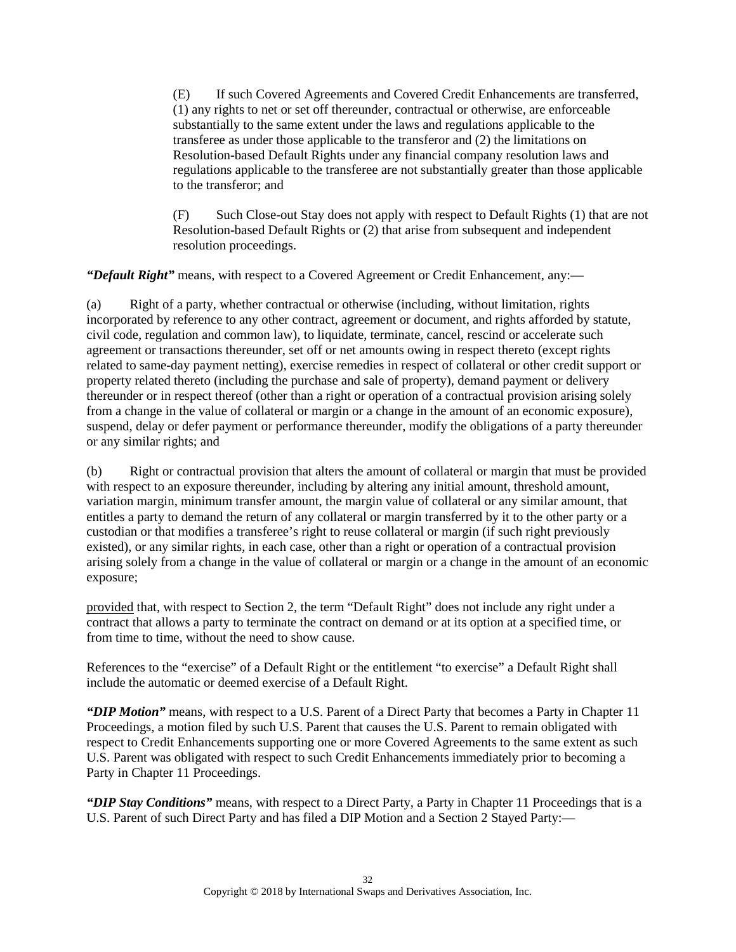(E) If such Covered Agreements and Covered Credit Enhancements are transferred, (1) any rights to net or set off thereunder, contractual or otherwise, are enforceable substantially to the same extent under the laws and regulations applicable to the transferee as under those applicable to the transferor and (2) the limitations on Resolution-based Default Rights under any financial company resolution laws and regulations applicable to the transferee are not substantially greater than those applicable to the transferor; and

(F) Such Close-out Stay does not apply with respect to Default Rights (1) that are not Resolution-based Default Rights or (2) that arise from subsequent and independent resolution proceedings.

*"Default Right"* means, with respect to a Covered Agreement or Credit Enhancement, any:—

(a) Right of a party, whether contractual or otherwise (including, without limitation, rights incorporated by reference to any other contract, agreement or document, and rights afforded by statute, civil code, regulation and common law), to liquidate, terminate, cancel, rescind or accelerate such agreement or transactions thereunder, set off or net amounts owing in respect thereto (except rights related to same-day payment netting), exercise remedies in respect of collateral or other credit support or property related thereto (including the purchase and sale of property), demand payment or delivery thereunder or in respect thereof (other than a right or operation of a contractual provision arising solely from a change in the value of collateral or margin or a change in the amount of an economic exposure), suspend, delay or defer payment or performance thereunder, modify the obligations of a party thereunder or any similar rights; and

(b) Right or contractual provision that alters the amount of collateral or margin that must be provided with respect to an exposure thereunder, including by altering any initial amount, threshold amount, variation margin, minimum transfer amount, the margin value of collateral or any similar amount, that entitles a party to demand the return of any collateral or margin transferred by it to the other party or a custodian or that modifies a transferee's right to reuse collateral or margin (if such right previously existed), or any similar rights, in each case, other than a right or operation of a contractual provision arising solely from a change in the value of collateral or margin or a change in the amount of an economic exposure;

provided that, with respect to Section [2,](#page-21-4) the term "Default Right" does not include any right under a contract that allows a party to terminate the contract on demand or at its option at a specified time, or from time to time, without the need to show cause.

References to the "exercise" of a Default Right or the entitlement "to exercise" a Default Right shall include the automatic or deemed exercise of a Default Right.

*"DIP Motion"* means, with respect to a U.S. Parent of a Direct Party that becomes a Party in Chapter 11 Proceedings, a motion filed by such U.S. Parent that causes the U.S. Parent to remain obligated with respect to Credit Enhancements supporting one or more Covered Agreements to the same extent as such U.S. Parent was obligated with respect to such Credit Enhancements immediately prior to becoming a Party in Chapter 11 Proceedings.

*"DIP Stay Conditions"* means, with respect to a Direct Party, a Party in Chapter 11 Proceedings that is a U.S. Parent of such Direct Party and has filed a DIP Motion and a Section 2 Stayed Party:—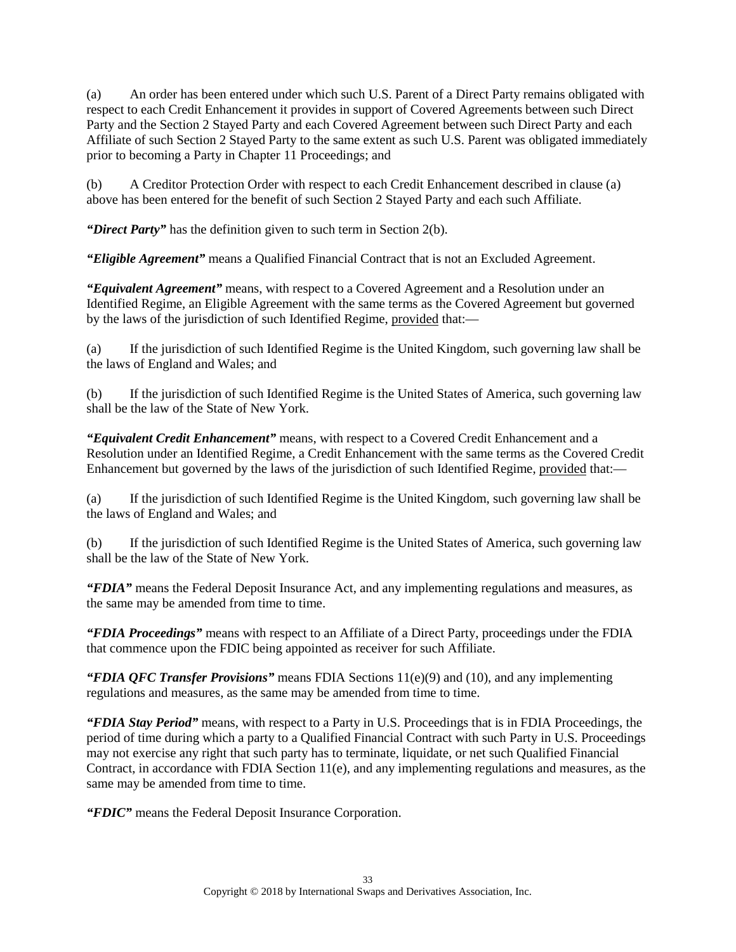<span id="page-32-0"></span>(a) An order has been entered under which such U.S. Parent of a Direct Party remains obligated with respect to each Credit Enhancement it provides in support of Covered Agreements between such Direct Party and the Section 2 Stayed Party and each Covered Agreement between such Direct Party and each Affiliate of such Section 2 Stayed Party to the same extent as such U.S. Parent was obligated immediately prior to becoming a Party in Chapter 11 Proceedings; and

(b) A Creditor Protection Order with respect to each Credit Enhancement described in clause [\(a\)](#page-32-0) above has been entered for the benefit of such Section 2 Stayed Party and each such Affiliate.

*"Direct Party"* has the definition given to such term in Section [2\(b\).](#page-21-3)

*"Eligible Agreement"* means a Qualified Financial Contract that is not an Excluded Agreement.

*"Equivalent Agreement"* means, with respect to a Covered Agreement and a Resolution under an Identified Regime, an Eligible Agreement with the same terms as the Covered Agreement but governed by the laws of the jurisdiction of such Identified Regime, provided that:—

(a) If the jurisdiction of such Identified Regime is the United Kingdom, such governing law shall be the laws of England and Wales; and

(b) If the jurisdiction of such Identified Regime is the United States of America, such governing law shall be the law of the State of New York.

*"Equivalent Credit Enhancement"* means, with respect to a Covered Credit Enhancement and a Resolution under an Identified Regime, a Credit Enhancement with the same terms as the Covered Credit Enhancement but governed by the laws of the jurisdiction of such Identified Regime, provided that:—

(a) If the jurisdiction of such Identified Regime is the United Kingdom, such governing law shall be the laws of England and Wales; and

(b) If the jurisdiction of such Identified Regime is the United States of America, such governing law shall be the law of the State of New York.

*"FDIA"* means the Federal Deposit Insurance Act, and any implementing regulations and measures, as the same may be amended from time to time.

*"FDIA Proceedings"* means with respect to an Affiliate of a Direct Party, proceedings under the FDIA that commence upon the FDIC being appointed as receiver for such Affiliate.

*"FDIA QFC Transfer Provisions"* means FDIA Sections 11(e)(9) and (10), and any implementing regulations and measures, as the same may be amended from time to time.

*"FDIA Stay Period"* means, with respect to a Party in U.S. Proceedings that is in FDIA Proceedings, the period of time during which a party to a Qualified Financial Contract with such Party in U.S. Proceedings may not exercise any right that such party has to terminate, liquidate, or net such Qualified Financial Contract, in accordance with FDIA Section 11(e), and any implementing regulations and measures, as the same may be amended from time to time.

*"FDIC"* means the Federal Deposit Insurance Corporation.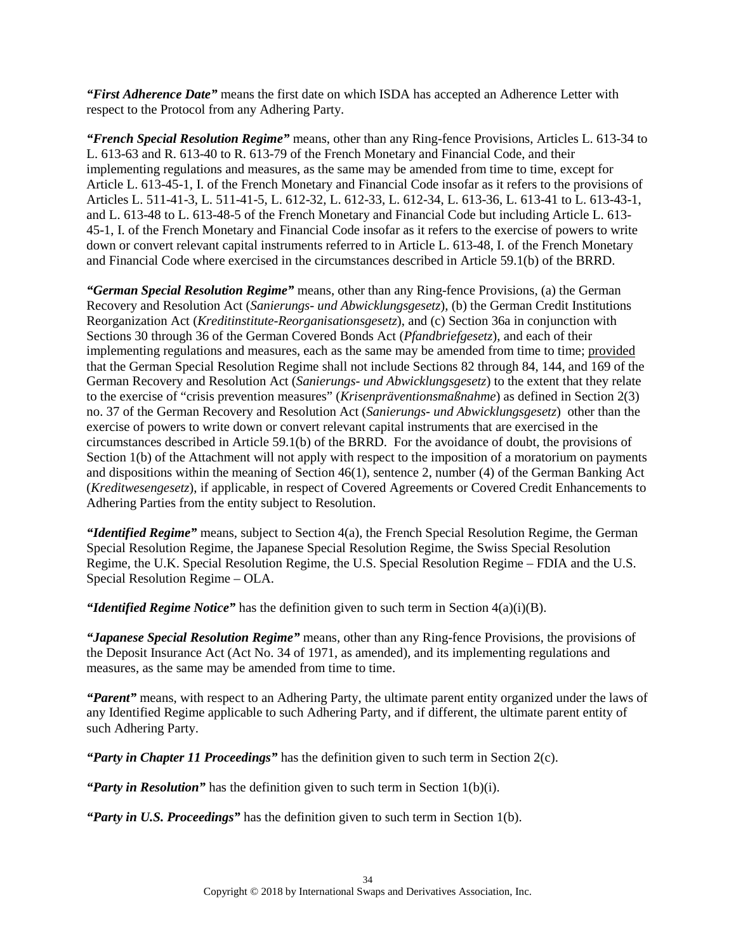*"First Adherence Date"* means the first date on which ISDA has accepted an Adherence Letter with respect to the Protocol from any Adhering Party.

*"French Special Resolution Regime"* means, other than any Ring-fence Provisions, Articles L. 613-34 to L. 613-63 and R. 613-40 to R. 613-79 of the French Monetary and Financial Code, and their implementing regulations and measures, as the same may be amended from time to time, except for Article L. 613-45-1, I. of the French Monetary and Financial Code insofar as it refers to the provisions of Articles L. 511-41-3, L. 511-41-5, L. 612-32, L. 612-33, L. 612-34, L. 613-36, L. 613-41 to L. 613-43-1, and L. 613-48 to L. 613-48-5 of the French Monetary and Financial Code but including Article L. 613- 45-1, I. of the French Monetary and Financial Code insofar as it refers to the exercise of powers to write down or convert relevant capital instruments referred to in Article L. 613-48, I. of the French Monetary and Financial Code where exercised in the circumstances described in Article 59.1(b) of the BRRD.

*"German Special Resolution Regime"* means, other than any Ring-fence Provisions, (a) the German Recovery and Resolution Act (*Sanierungs- und Abwicklungsgesetz*), (b) the German Credit Institutions Reorganization Act (*Kreditinstitute-Reorganisationsgesetz*), and (c) Section 36a in conjunction with Sections 30 through 36 of the German Covered Bonds Act (*Pfandbriefgesetz*), and each of their implementing regulations and measures, each as the same may be amended from time to time; provided that the German Special Resolution Regime shall not include Sections 82 through 84, 144, and 169 of the German Recovery and Resolution Act (*Sanierungs- und Abwicklungsgesetz*) to the extent that they relate to the exercise of "crisis prevention measures" (*Krisenpräventionsmaßnahme*) as defined in Section 2(3) no. 37 of the German Recovery and Resolution Act (*Sanierungs- und Abwicklungsgesetz*) other than the exercise of powers to write down or convert relevant capital instruments that are exercised in the circumstances described in Article 59.1(b) of the BRRD. For the avoidance of doubt, the provisions of Section [1\(b\)](#page-18-1) of the Attachment will not apply with respect to the imposition of a moratorium on payments and dispositions within the meaning of Section 46(1), sentence 2, number (4) of the German Banking Act (*Kreditwesengesetz*), if applicable, in respect of Covered Agreements or Covered Credit Enhancements to Adhering Parties from the entity subject to Resolution.

*"Identified Regime"* means, subject to Section [4\(a\),](#page-25-0) the French Special Resolution Regime, the German Special Resolution Regime, the Japanese Special Resolution Regime, the Swiss Special Resolution Regime, the U.K. Special Resolution Regime, the U.S. Special Resolution Regime – FDIA and the U.S. Special Resolution Regime – OLA.

*"Identified Regime Notice"* has the definition given to such term in Section [4\(a\)\(i\)\(B\).](#page-25-2)

*"Japanese Special Resolution Regime"* means, other than any Ring-fence Provisions, the provisions of the Deposit Insurance Act (Act No. 34 of 1971, as amended), and its implementing regulations and measures, as the same may be amended from time to time.

*"Parent"* means, with respect to an Adhering Party, the ultimate parent entity organized under the laws of any Identified Regime applicable to such Adhering Party, and if different, the ultimate parent entity of such Adhering Party.

*"Party in Chapter 11 Proceedings"* has the definition given to such term in Section [2\(c\).](#page-21-1)

*"Party in Resolution"* has the definition given to such term in Section [1\(b\)\(i\).](#page-18-0)

*"Party in U.S. Proceedings"* has the definition given to such term in Section [1\(b\).](#page-18-1)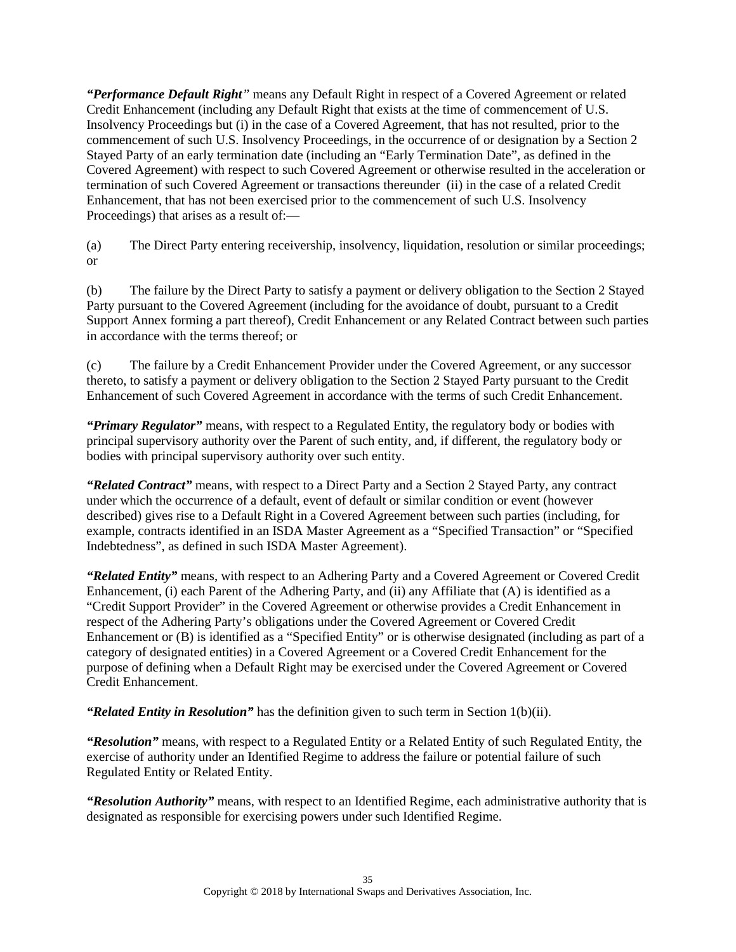*"Performance Default Right"* means any Default Right in respect of a Covered Agreement or related Credit Enhancement (including any Default Right that exists at the time of commencement of U.S. Insolvency Proceedings but (i) in the case of a Covered Agreement, that has not resulted, prior to the commencement of such U.S. Insolvency Proceedings, in the occurrence of or designation by a Section 2 Stayed Party of an early termination date (including an "Early Termination Date", as defined in the Covered Agreement) with respect to such Covered Agreement or otherwise resulted in the acceleration or termination of such Covered Agreement or transactions thereunder (ii) in the case of a related Credit Enhancement, that has not been exercised prior to the commencement of such U.S. Insolvency Proceedings) that arises as a result of:—

(a) The Direct Party entering receivership, insolvency, liquidation, resolution or similar proceedings; or

(b) The failure by the Direct Party to satisfy a payment or delivery obligation to the Section 2 Stayed Party pursuant to the Covered Agreement (including for the avoidance of doubt, pursuant to a Credit Support Annex forming a part thereof), Credit Enhancement or any Related Contract between such parties in accordance with the terms thereof; or

(c) The failure by a Credit Enhancement Provider under the Covered Agreement, or any successor thereto, to satisfy a payment or delivery obligation to the Section 2 Stayed Party pursuant to the Credit Enhancement of such Covered Agreement in accordance with the terms of such Credit Enhancement.

*"Primary Regulator"* means, with respect to a Regulated Entity, the regulatory body or bodies with principal supervisory authority over the Parent of such entity, and, if different, the regulatory body or bodies with principal supervisory authority over such entity.

*"Related Contract"* means, with respect to a Direct Party and a Section 2 Stayed Party, any contract under which the occurrence of a default, event of default or similar condition or event (however described) gives rise to a Default Right in a Covered Agreement between such parties (including, for example, contracts identified in an ISDA Master Agreement as a "Specified Transaction" or "Specified Indebtedness", as defined in such ISDA Master Agreement).

*"Related Entity"* means, with respect to an Adhering Party and a Covered Agreement or Covered Credit Enhancement, (i) each Parent of the Adhering Party, and (ii) any Affiliate that (A) is identified as a "Credit Support Provider" in the Covered Agreement or otherwise provides a Credit Enhancement in respect of the Adhering Party's obligations under the Covered Agreement or Covered Credit Enhancement or (B) is identified as a "Specified Entity" or is otherwise designated (including as part of a category of designated entities) in a Covered Agreement or a Covered Credit Enhancement for the purpose of defining when a Default Right may be exercised under the Covered Agreement or Covered Credit Enhancement.

*"Related Entity in Resolution"* has the definition given to such term in Section [1\(b\)\(ii\).](#page-19-0)

*"Resolution"* means, with respect to a Regulated Entity or a Related Entity of such Regulated Entity, the exercise of authority under an Identified Regime to address the failure or potential failure of such Regulated Entity or Related Entity.

*"Resolution Authority"* means, with respect to an Identified Regime, each administrative authority that is designated as responsible for exercising powers under such Identified Regime.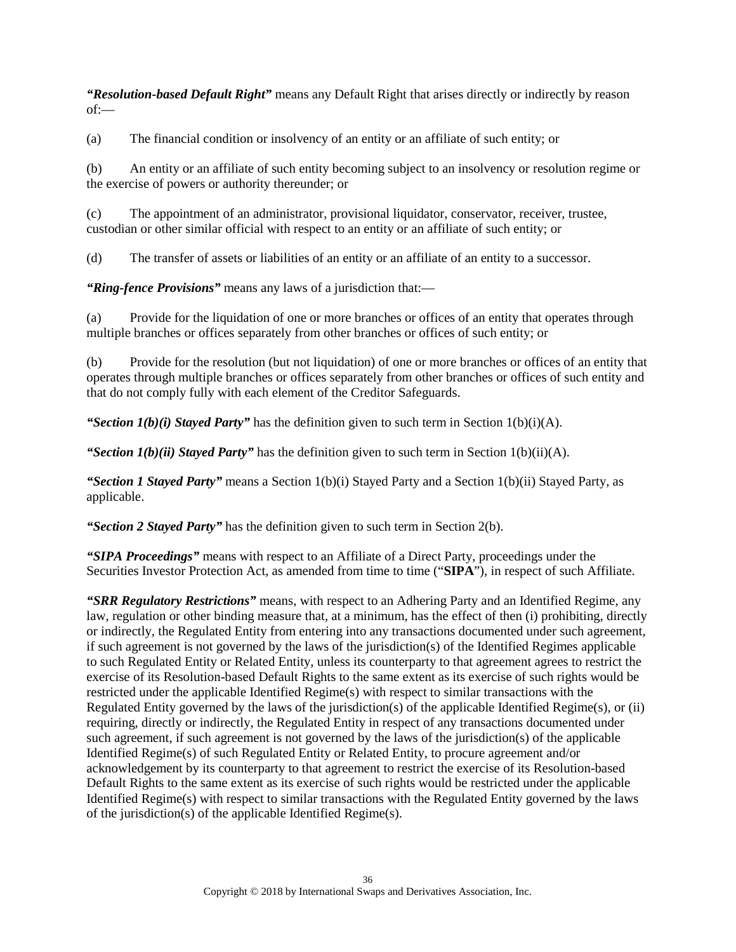*"Resolution-based Default Right"* means any Default Right that arises directly or indirectly by reason  $of -$ 

(a) The financial condition or insolvency of an entity or an affiliate of such entity; or

(b) An entity or an affiliate of such entity becoming subject to an insolvency or resolution regime or the exercise of powers or authority thereunder; or

(c) The appointment of an administrator, provisional liquidator, conservator, receiver, trustee, custodian or other similar official with respect to an entity or an affiliate of such entity; or

(d) The transfer of assets or liabilities of an entity or an affiliate of an entity to a successor.

*"Ring-fence Provisions"* means any laws of a jurisdiction that:—

(a) Provide for the liquidation of one or more branches or offices of an entity that operates through multiple branches or offices separately from other branches or offices of such entity; or

(b) Provide for the resolution (but not liquidation) of one or more branches or offices of an entity that operates through multiple branches or offices separately from other branches or offices of such entity and that do not comply fully with each element of the Creditor Safeguards.

*"Section 1(b)(i) Stayed Party"* has the definition given to such term in Section [1\(b\)\(i\)\(A\).](#page-18-3)

"Section  $I(b)(ii)$  Stayed Party" has the definition given to such term in Section  $I(b)(ii)(A)$ .

*"Section 1 Stayed Party"* means a Section 1(b)(i) Stayed Party and a Section 1(b)(ii) Stayed Party, as applicable.

*"Section 2 Stayed Party"* has the definition given to such term in Section [2\(b\).](#page-21-3)

*"SIPA Proceedings"* means with respect to an Affiliate of a Direct Party, proceedings under the Securities Investor Protection Act, as amended from time to time ("**SIPA**"), in respect of such Affiliate.

*"SRR Regulatory Restrictions"* means, with respect to an Adhering Party and an Identified Regime, any law, regulation or other binding measure that, at a minimum, has the effect of then (i) prohibiting, directly or indirectly, the Regulated Entity from entering into any transactions documented under such agreement, if such agreement is not governed by the laws of the jurisdiction(s) of the Identified Regimes applicable to such Regulated Entity or Related Entity, unless its counterparty to that agreement agrees to restrict the exercise of its Resolution-based Default Rights to the same extent as its exercise of such rights would be restricted under the applicable Identified Regime(s) with respect to similar transactions with the Regulated Entity governed by the laws of the jurisdiction(s) of the applicable Identified Regime(s), or (ii) requiring, directly or indirectly, the Regulated Entity in respect of any transactions documented under such agreement, if such agreement is not governed by the laws of the jurisdiction(s) of the applicable Identified Regime(s) of such Regulated Entity or Related Entity, to procure agreement and/or acknowledgement by its counterparty to that agreement to restrict the exercise of its Resolution-based Default Rights to the same extent as its exercise of such rights would be restricted under the applicable Identified Regime(s) with respect to similar transactions with the Regulated Entity governed by the laws of the jurisdiction(s) of the applicable Identified Regime(s).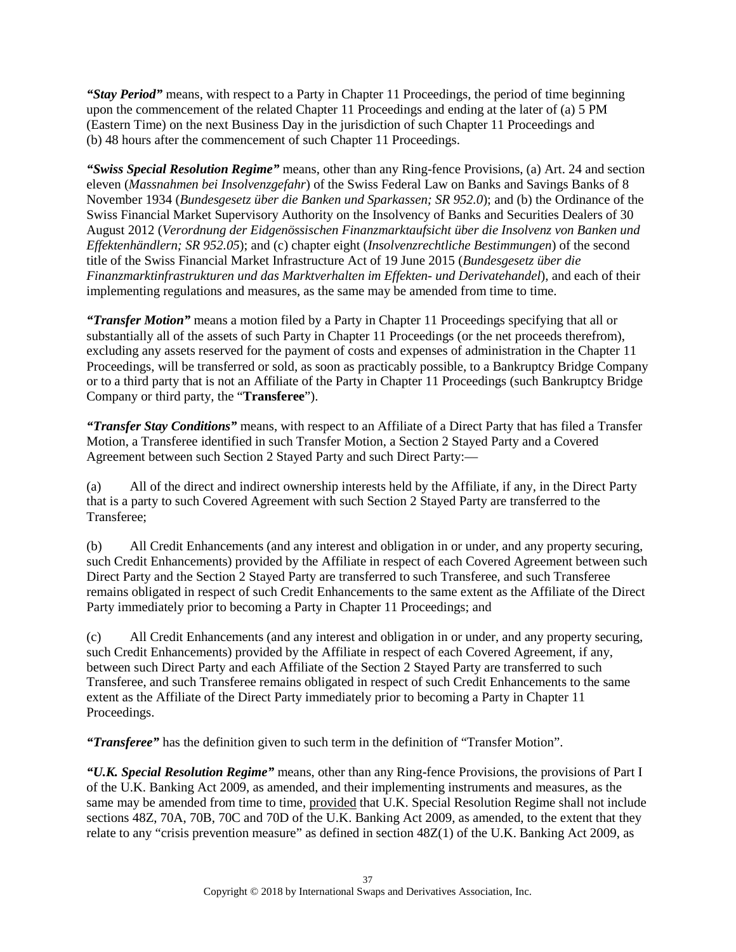*"Stay Period"* means, with respect to a Party in Chapter 11 Proceedings, the period of time beginning upon the commencement of the related Chapter 11 Proceedings and ending at the later of (a) 5 PM (Eastern Time) on the next Business Day in the jurisdiction of such Chapter 11 Proceedings and (b) 48 hours after the commencement of such Chapter 11 Proceedings.

*"Swiss Special Resolution Regime"* means, other than any Ring-fence Provisions, (a) Art. 24 and section eleven (*Massnahmen bei Insolvenzgefahr*) of the Swiss Federal Law on Banks and Savings Banks of 8 November 1934 (*Bundesgesetz über die Banken und Sparkassen; SR 952.0*); and (b) the Ordinance of the Swiss Financial Market Supervisory Authority on the Insolvency of Banks and Securities Dealers of 30 August 2012 (*Verordnung der Eidgenössischen Finanzmarktaufsicht über die Insolvenz von Banken und Effektenhändlern; SR 952.05*); and (c) chapter eight (*Insolvenzrechtliche Bestimmungen*) of the second title of the Swiss Financial Market Infrastructure Act of 19 June 2015 (*Bundesgesetz über die Finanzmarktinfrastrukturen und das Marktverhalten im Effekten- und Derivatehandel*), and each of their implementing regulations and measures, as the same may be amended from time to time.

*"Transfer Motion"* means a motion filed by a Party in Chapter 11 Proceedings specifying that all or substantially all of the assets of such Party in Chapter 11 Proceedings (or the net proceeds therefrom), excluding any assets reserved for the payment of costs and expenses of administration in the Chapter 11 Proceedings, will be transferred or sold, as soon as practicably possible, to a Bankruptcy Bridge Company or to a third party that is not an Affiliate of the Party in Chapter 11 Proceedings (such Bankruptcy Bridge Company or third party, the "**Transferee**").

*"Transfer Stay Conditions"* means, with respect to an Affiliate of a Direct Party that has filed a Transfer Motion, a Transferee identified in such Transfer Motion, a Section 2 Stayed Party and a Covered Agreement between such Section 2 Stayed Party and such Direct Party:—

(a) All of the direct and indirect ownership interests held by the Affiliate, if any, in the Direct Party that is a party to such Covered Agreement with such Section 2 Stayed Party are transferred to the Transferee;

(b) All Credit Enhancements (and any interest and obligation in or under, and any property securing, such Credit Enhancements) provided by the Affiliate in respect of each Covered Agreement between such Direct Party and the Section 2 Stayed Party are transferred to such Transferee, and such Transferee remains obligated in respect of such Credit Enhancements to the same extent as the Affiliate of the Direct Party immediately prior to becoming a Party in Chapter 11 Proceedings; and

(c) All Credit Enhancements (and any interest and obligation in or under, and any property securing, such Credit Enhancements) provided by the Affiliate in respect of each Covered Agreement, if any, between such Direct Party and each Affiliate of the Section 2 Stayed Party are transferred to such Transferee, and such Transferee remains obligated in respect of such Credit Enhancements to the same extent as the Affiliate of the Direct Party immediately prior to becoming a Party in Chapter 11 Proceedings.

*"Transferee"* has the definition given to such term in the definition of "Transfer Motion".

*"U.K. Special Resolution Regime"* means, other than any Ring-fence Provisions, the provisions of Part I of the U.K. Banking Act 2009, as amended, and their implementing instruments and measures, as the same may be amended from time to time, provided that U.K. Special Resolution Regime shall not include sections 48Z, 70A, 70B, 70C and 70D of the U.K. Banking Act 2009, as amended, to the extent that they relate to any "crisis prevention measure" as defined in section 48Z(1) of the U.K. Banking Act 2009, as